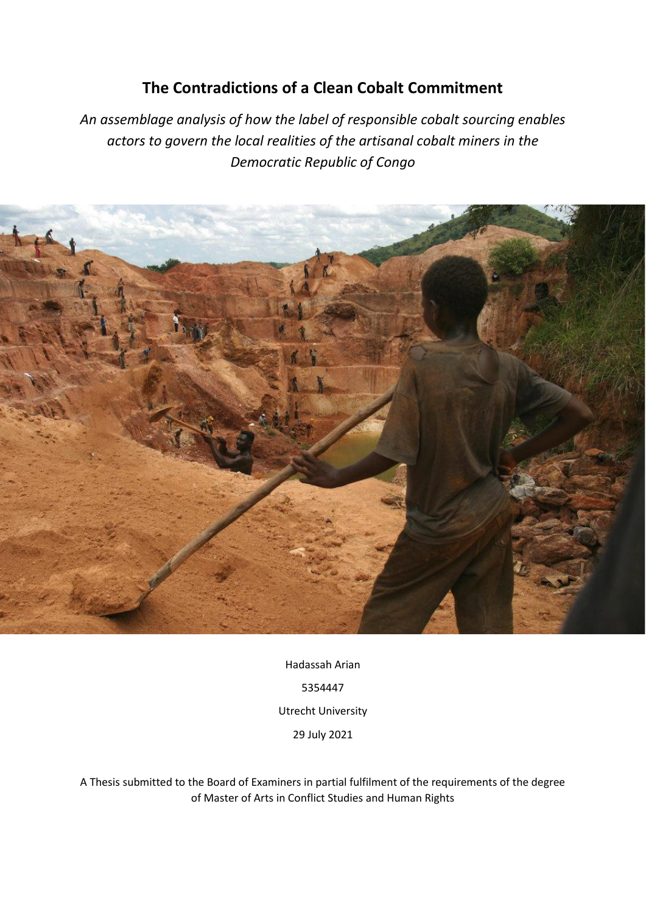# **The Contradictions of a Clean Cobalt Commitment**

*An assemblage analysis of how the label of responsible cobalt sourcing enables actors to govern the local realities of the artisanal cobalt miners in the Democratic Republic of Congo*



Hadassah Arian 5354447 Utrecht University 29 July 2021

A Thesis submitted to the Board of Examiners in partial fulfilment of the requirements of the degree of Master of Arts in Conflict Studies and Human Rights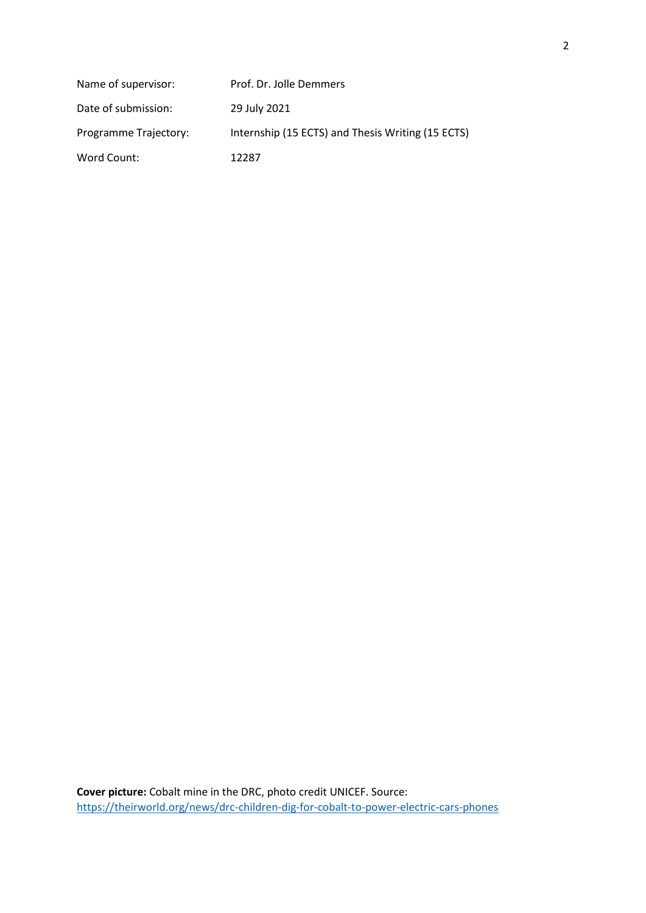| Name of supervisor:   | Prof. Dr. Jolle Demmers                           |
|-----------------------|---------------------------------------------------|
| Date of submission:   | 29 July 2021                                      |
| Programme Trajectory: | Internship (15 ECTS) and Thesis Writing (15 ECTS) |
| Word Count:           | 12287                                             |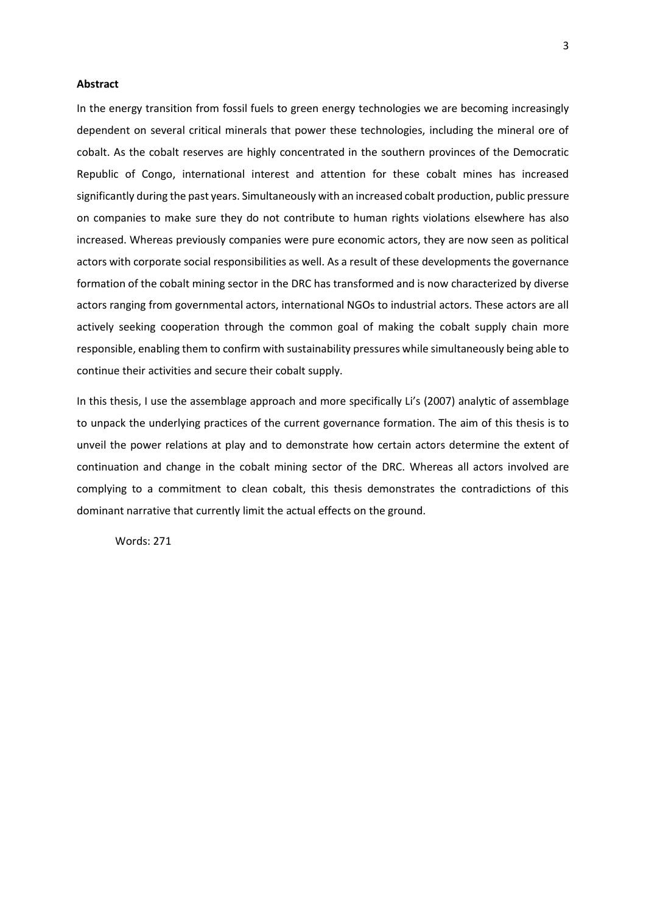# **Abstract**

In the energy transition from fossil fuels to green energy technologies we are becoming increasingly dependent on several critical minerals that power these technologies, including the mineral ore of cobalt. As the cobalt reserves are highly concentrated in the southern provinces of the Democratic Republic of Congo, international interest and attention for these cobalt mines has increased significantly during the past years. Simultaneously with an increased cobalt production, public pressure on companies to make sure they do not contribute to human rights violations elsewhere has also increased. Whereas previously companies were pure economic actors, they are now seen as political actors with corporate social responsibilities as well. As a result of these developments the governance formation of the cobalt mining sector in the DRC has transformed and is now characterized by diverse actors ranging from governmental actors, international NGOs to industrial actors. These actors are all actively seeking cooperation through the common goal of making the cobalt supply chain more responsible, enabling them to confirm with sustainability pressures while simultaneously being able to continue their activities and secure their cobalt supply.

In this thesis, I use the assemblage approach and more specifically Li's (2007) analytic of assemblage to unpack the underlying practices of the current governance formation. The aim of this thesis is to unveil the power relations at play and to demonstrate how certain actors determine the extent of continuation and change in the cobalt mining sector of the DRC. Whereas all actors involved are complying to a commitment to clean cobalt, this thesis demonstrates the contradictions of this dominant narrative that currently limit the actual effects on the ground.

Words: 271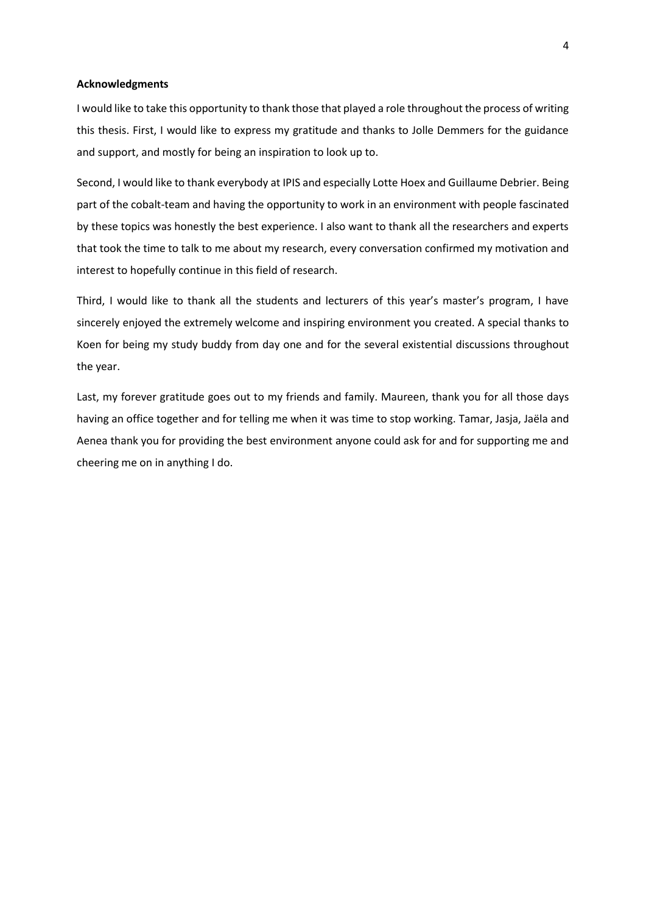# **Acknowledgments**

I would like to take this opportunity to thank those that played a role throughout the process of writing this thesis. First, I would like to express my gratitude and thanks to Jolle Demmers for the guidance and support, and mostly for being an inspiration to look up to.

Second, I would like to thank everybody at IPIS and especially Lotte Hoex and Guillaume Debrier. Being part of the cobalt-team and having the opportunity to work in an environment with people fascinated by these topics was honestly the best experience. I also want to thank all the researchers and experts that took the time to talk to me about my research, every conversation confirmed my motivation and interest to hopefully continue in this field of research.

Third, I would like to thank all the students and lecturers of this year's master's program, I have sincerely enjoyed the extremely welcome and inspiring environment you created. A special thanks to Koen for being my study buddy from day one and for the several existential discussions throughout the year.

Last, my forever gratitude goes out to my friends and family. Maureen, thank you for all those days having an office together and for telling me when it was time to stop working. Tamar, Jasja, Jaëla and Aenea thank you for providing the best environment anyone could ask for and for supporting me and cheering me on in anything I do.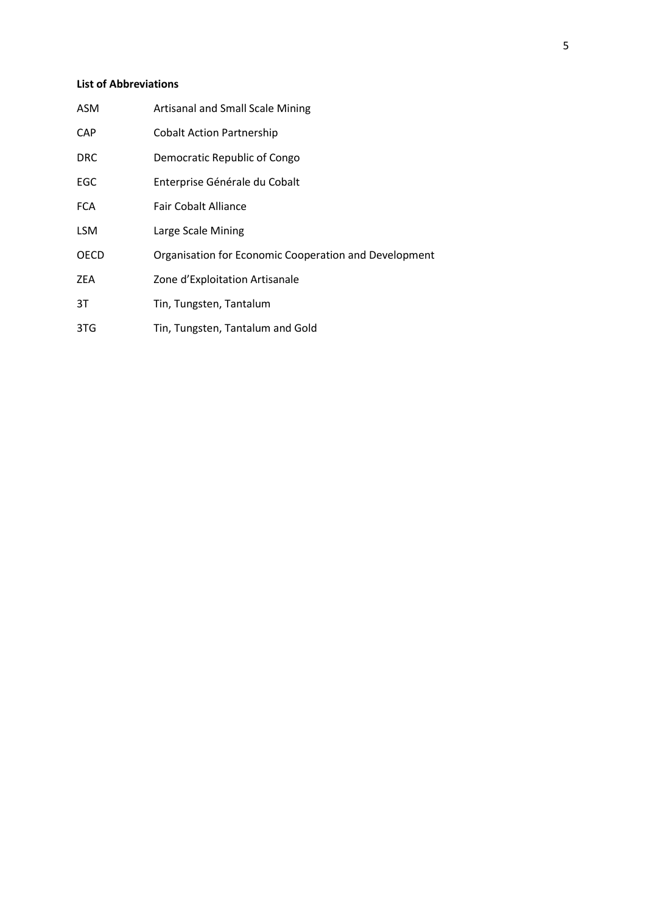# **List of Abbreviations**

| <b>ASM</b>  | <b>Artisanal and Small Scale Mining</b>               |
|-------------|-------------------------------------------------------|
| <b>CAP</b>  | <b>Cobalt Action Partnership</b>                      |
| <b>DRC</b>  | Democratic Republic of Congo                          |
| EGC         | Enterprise Générale du Cobalt                         |
| <b>FCA</b>  | Fair Cobalt Alliance                                  |
| <b>LSM</b>  | Large Scale Mining                                    |
| <b>OECD</b> | Organisation for Economic Cooperation and Development |
| <b>ZEA</b>  | Zone d'Exploitation Artisanale                        |
| 3T          | Tin, Tungsten, Tantalum                               |
| 3TG         | Tin, Tungsten, Tantalum and Gold                      |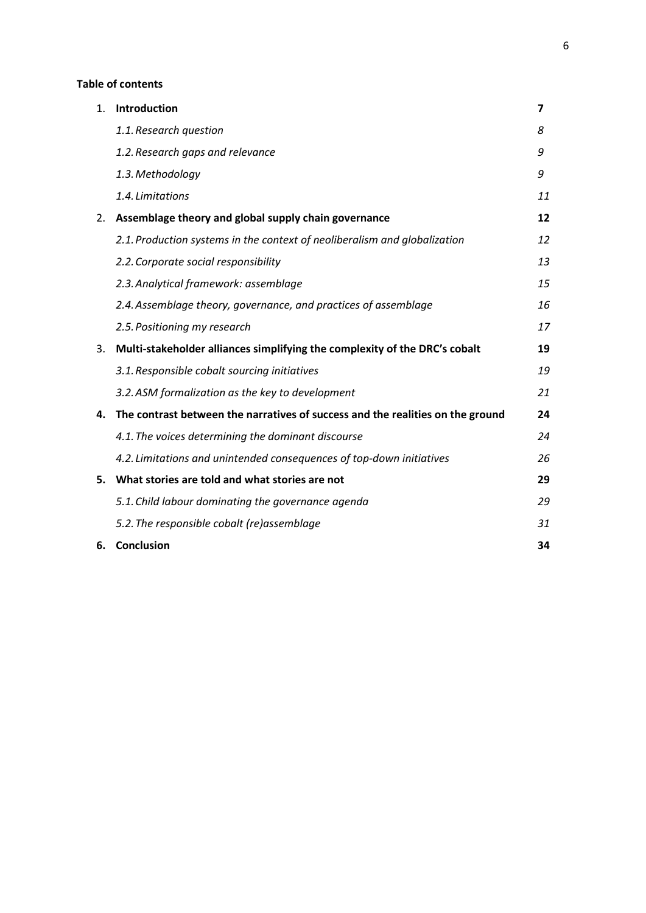# **Table of contents**

| 1. | Introduction                                                                   | 7  |
|----|--------------------------------------------------------------------------------|----|
|    | 1.1. Research question                                                         | 8  |
|    | 1.2. Research gaps and relevance                                               | 9  |
|    | 1.3. Methodology                                                               | 9  |
|    | 1.4. Limitations                                                               | 11 |
| 2. | Assemblage theory and global supply chain governance                           | 12 |
|    | 2.1. Production systems in the context of neoliberalism and globalization      | 12 |
|    | 2.2. Corporate social responsibility                                           | 13 |
|    | 2.3. Analytical framework: assemblage                                          | 15 |
|    | 2.4. Assemblage theory, governance, and practices of assemblage                | 16 |
|    | 2.5. Positioning my research                                                   | 17 |
| 3. | Multi-stakeholder alliances simplifying the complexity of the DRC's cobalt     | 19 |
|    | 3.1. Responsible cobalt sourcing initiatives                                   | 19 |
|    | 3.2. ASM formalization as the key to development                               | 21 |
| 4. | The contrast between the narratives of success and the realities on the ground | 24 |
|    | 4.1. The voices determining the dominant discourse                             | 24 |
|    | 4.2. Limitations and unintended consequences of top-down initiatives           | 26 |
| 5. | What stories are told and what stories are not                                 | 29 |
|    | 5.1. Child labour dominating the governance agenda                             | 29 |
|    | 5.2. The responsible cobalt (re)assemblage                                     | 31 |
| 6. | Conclusion                                                                     | 34 |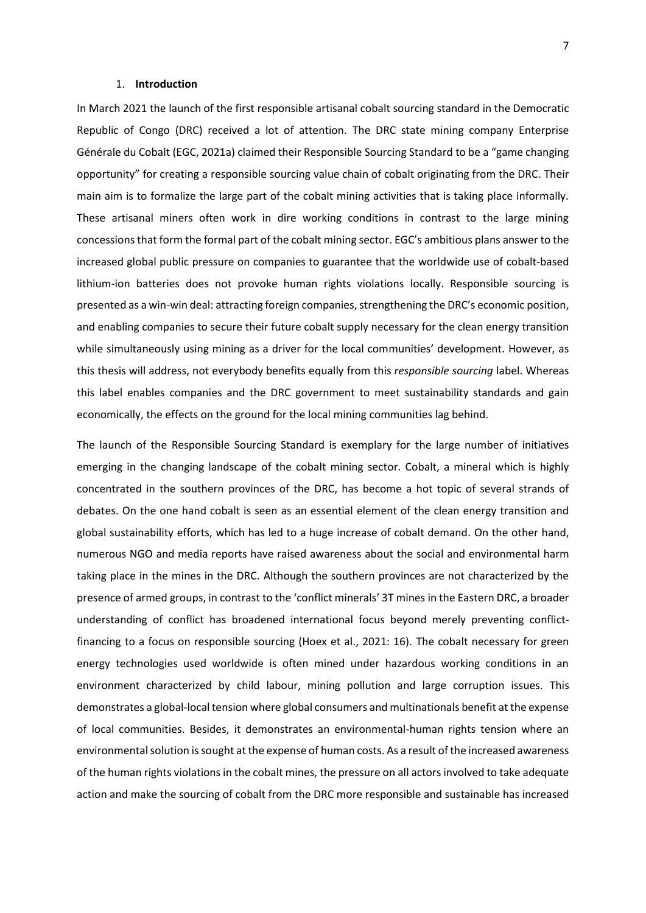# 1. **Introduction**

In March 2021 the launch of the first responsible artisanal cobalt sourcing standard in the Democratic Republic of Congo (DRC) received a lot of attention. The DRC state mining company Enterprise Générale du Cobalt (EGC, 2021a) claimed their Responsible Sourcing Standard to be a "game changing opportunity" for creating a responsible sourcing value chain of cobalt originating from the DRC. Their main aim is to formalize the large part of the cobalt mining activities that is taking place informally. These artisanal miners often work in dire working conditions in contrast to the large mining concessions that form the formal part of the cobalt mining sector. EGC's ambitious plans answer to the increased global public pressure on companies to guarantee that the worldwide use of cobalt-based lithium-ion batteries does not provoke human rights violations locally. Responsible sourcing is presented as a win-win deal: attracting foreign companies, strengthening the DRC's economic position, and enabling companies to secure their future cobalt supply necessary for the clean energy transition while simultaneously using mining as a driver for the local communities' development. However, as this thesis will address, not everybody benefits equally from this *responsible sourcing* label. Whereas this label enables companies and the DRC government to meet sustainability standards and gain economically, the effects on the ground for the local mining communities lag behind.

The launch of the Responsible Sourcing Standard is exemplary for the large number of initiatives emerging in the changing landscape of the cobalt mining sector. Cobalt, a mineral which is highly concentrated in the southern provinces of the DRC, has become a hot topic of several strands of debates. On the one hand cobalt is seen as an essential element of the clean energy transition and global sustainability efforts, which has led to a huge increase of cobalt demand. On the other hand, numerous NGO and media reports have raised awareness about the social and environmental harm taking place in the mines in the DRC. Although the southern provinces are not characterized by the presence of armed groups, in contrast to the 'conflict minerals' 3T mines in the Eastern DRC, a broader understanding of conflict has broadened international focus beyond merely preventing conflictfinancing to a focus on responsible sourcing (Hoex et al., 2021: 16). The cobalt necessary for green energy technologies used worldwide is often mined under hazardous working conditions in an environment characterized by child labour, mining pollution and large corruption issues. This demonstrates a global-local tension where global consumers and multinationals benefit at the expense of local communities. Besides, it demonstrates an environmental-human rights tension where an environmental solution is sought at the expense of human costs. As a result of the increased awareness of the human rights violations in the cobalt mines, the pressure on all actors involved to take adequate action and make the sourcing of cobalt from the DRC more responsible and sustainable has increased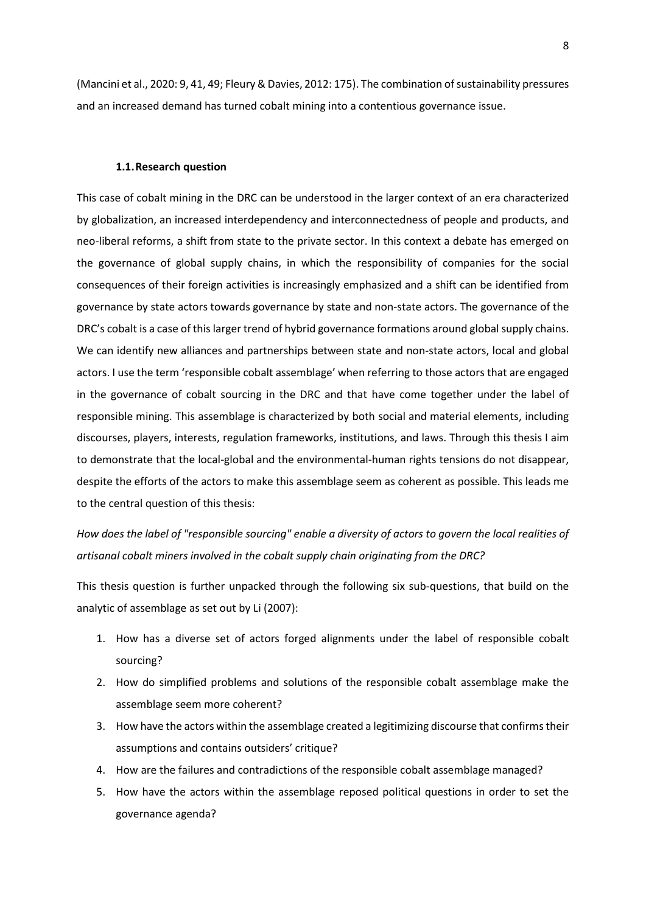(Mancini et al., 2020: 9, 41, 49; Fleury & Davies, 2012: 175). The combination of sustainability pressures and an increased demand has turned cobalt mining into a contentious governance issue.

#### **1.1.Research question**

This case of cobalt mining in the DRC can be understood in the larger context of an era characterized by globalization, an increased interdependency and interconnectedness of people and products, and neo-liberal reforms, a shift from state to the private sector. In this context a debate has emerged on the governance of global supply chains, in which the responsibility of companies for the social consequences of their foreign activities is increasingly emphasized and a shift can be identified from governance by state actors towards governance by state and non-state actors. The governance of the DRC's cobalt is a case of this larger trend of hybrid governance formations around global supply chains. We can identify new alliances and partnerships between state and non-state actors, local and global actors. I use the term 'responsible cobalt assemblage' when referring to those actors that are engaged in the governance of cobalt sourcing in the DRC and that have come together under the label of responsible mining. This assemblage is characterized by both social and material elements, including discourses, players, interests, regulation frameworks, institutions, and laws. Through this thesis I aim to demonstrate that the local-global and the environmental-human rights tensions do not disappear, despite the efforts of the actors to make this assemblage seem as coherent as possible. This leads me to the central question of this thesis:

*How does the label of "responsible sourcing" enable a diversity of actors to govern the local realities of artisanal cobalt miners involved in the cobalt supply chain originating from the DRC?*

This thesis question is further unpacked through the following six sub-questions, that build on the analytic of assemblage as set out by Li (2007):

- 1. How has a diverse set of actors forged alignments under the label of responsible cobalt sourcing?
- 2. How do simplified problems and solutions of the responsible cobalt assemblage make the assemblage seem more coherent?
- 3. How have the actors within the assemblage created a legitimizing discourse that confirms their assumptions and contains outsiders' critique?
- 4. How are the failures and contradictions of the responsible cobalt assemblage managed?
- 5. How have the actors within the assemblage reposed political questions in order to set the governance agenda?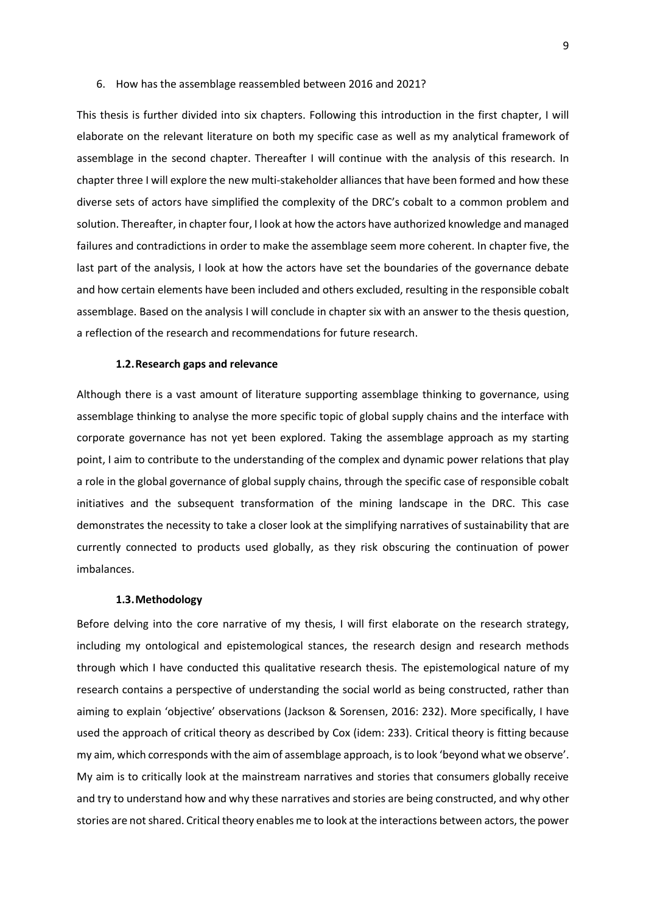#### 6. How has the assemblage reassembled between 2016 and 2021?

This thesis is further divided into six chapters. Following this introduction in the first chapter, I will elaborate on the relevant literature on both my specific case as well as my analytical framework of assemblage in the second chapter. Thereafter I will continue with the analysis of this research. In chapter three I will explore the new multi-stakeholder alliances that have been formed and how these diverse sets of actors have simplified the complexity of the DRC's cobalt to a common problem and solution. Thereafter, in chapter four, I look at how the actors have authorized knowledge and managed failures and contradictions in order to make the assemblage seem more coherent. In chapter five, the last part of the analysis, I look at how the actors have set the boundaries of the governance debate and how certain elements have been included and others excluded, resulting in the responsible cobalt assemblage. Based on the analysis I will conclude in chapter six with an answer to the thesis question, a reflection of the research and recommendations for future research.

# **1.2.Research gaps and relevance**

Although there is a vast amount of literature supporting assemblage thinking to governance, using assemblage thinking to analyse the more specific topic of global supply chains and the interface with corporate governance has not yet been explored. Taking the assemblage approach as my starting point, I aim to contribute to the understanding of the complex and dynamic power relations that play a role in the global governance of global supply chains, through the specific case of responsible cobalt initiatives and the subsequent transformation of the mining landscape in the DRC. This case demonstrates the necessity to take a closer look at the simplifying narratives of sustainability that are currently connected to products used globally, as they risk obscuring the continuation of power imbalances.

### **1.3.Methodology**

Before delving into the core narrative of my thesis, I will first elaborate on the research strategy, including my ontological and epistemological stances, the research design and research methods through which I have conducted this qualitative research thesis. The epistemological nature of my research contains a perspective of understanding the social world as being constructed, rather than aiming to explain 'objective' observations (Jackson & Sorensen, 2016: 232). More specifically, I have used the approach of critical theory as described by Cox (idem: 233). Critical theory is fitting because my aim, which corresponds with the aim of assemblage approach, is to look 'beyond what we observe'. My aim is to critically look at the mainstream narratives and stories that consumers globally receive and try to understand how and why these narratives and stories are being constructed, and why other stories are not shared. Critical theory enables me to look at the interactions between actors, the power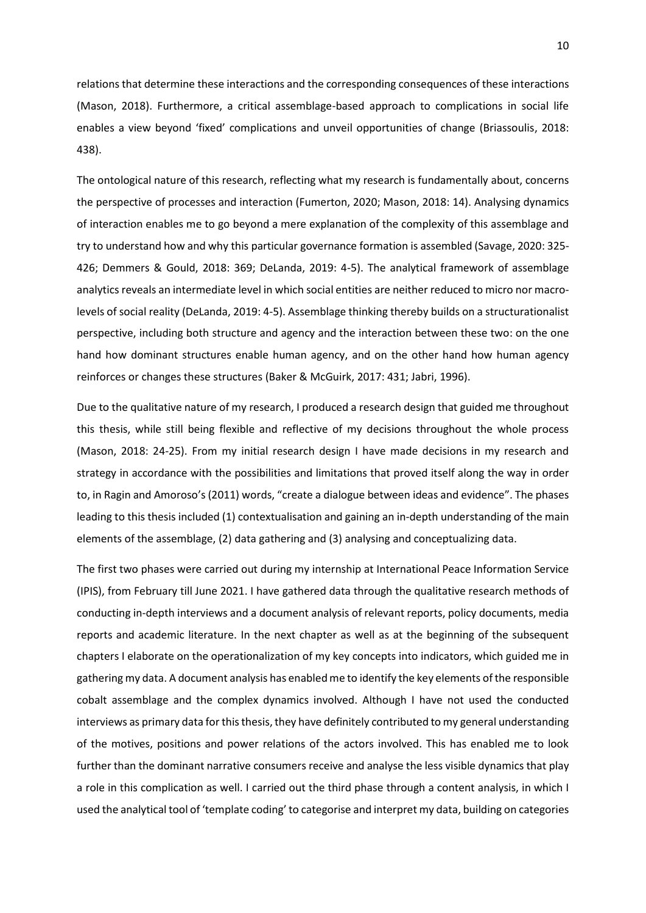relations that determine these interactions and the corresponding consequences of these interactions (Mason, 2018). Furthermore, a critical assemblage-based approach to complications in social life enables a view beyond 'fixed' complications and unveil opportunities of change (Briassoulis, 2018: 438).

The ontological nature of this research, reflecting what my research is fundamentally about, concerns the perspective of processes and interaction (Fumerton, 2020; Mason, 2018: 14). Analysing dynamics of interaction enables me to go beyond a mere explanation of the complexity of this assemblage and try to understand how and why this particular governance formation is assembled (Savage, 2020: 325- 426; Demmers & Gould, 2018: 369; DeLanda, 2019: 4-5). The analytical framework of assemblage analytics reveals an intermediate level in which social entities are neither reduced to micro nor macrolevels of social reality (DeLanda, 2019: 4-5). Assemblage thinking thereby builds on a structurationalist perspective, including both structure and agency and the interaction between these two: on the one hand how dominant structures enable human agency, and on the other hand how human agency reinforces or changes these structures (Baker & McGuirk, 2017: 431; Jabri, 1996).

Due to the qualitative nature of my research, I produced a research design that guided me throughout this thesis, while still being flexible and reflective of my decisions throughout the whole process (Mason, 2018: 24-25). From my initial research design I have made decisions in my research and strategy in accordance with the possibilities and limitations that proved itself along the way in order to, in Ragin and Amoroso's(2011) words, "create a dialogue between ideas and evidence". The phases leading to this thesis included (1) contextualisation and gaining an in-depth understanding of the main elements of the assemblage, (2) data gathering and (3) analysing and conceptualizing data.

The first two phases were carried out during my internship at International Peace Information Service (IPIS), from February till June 2021. I have gathered data through the qualitative research methods of conducting in-depth interviews and a document analysis of relevant reports, policy documents, media reports and academic literature. In the next chapter as well as at the beginning of the subsequent chapters I elaborate on the operationalization of my key concepts into indicators, which guided me in gathering my data. A document analysis has enabled me to identify the key elements of the responsible cobalt assemblage and the complex dynamics involved. Although I have not used the conducted interviews as primary data for this thesis, they have definitely contributed to my general understanding of the motives, positions and power relations of the actors involved. This has enabled me to look further than the dominant narrative consumers receive and analyse the less visible dynamics that play a role in this complication as well. I carried out the third phase through a content analysis, in which I used the analytical tool of 'template coding' to categorise and interpret my data, building on categories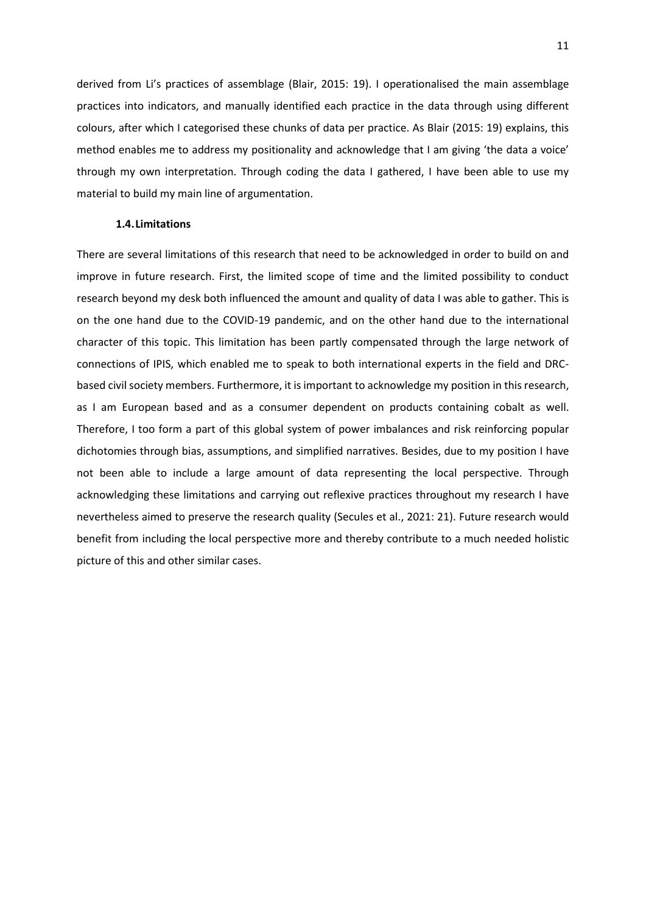derived from Li's practices of assemblage (Blair, 2015: 19). I operationalised the main assemblage practices into indicators, and manually identified each practice in the data through using different colours, after which I categorised these chunks of data per practice. As Blair (2015: 19) explains, this method enables me to address my positionality and acknowledge that I am giving 'the data a voice' through my own interpretation. Through coding the data I gathered, I have been able to use my material to build my main line of argumentation.

#### **1.4.Limitations**

There are several limitations of this research that need to be acknowledged in order to build on and improve in future research. First, the limited scope of time and the limited possibility to conduct research beyond my desk both influenced the amount and quality of data I was able to gather. This is on the one hand due to the COVID-19 pandemic, and on the other hand due to the international character of this topic. This limitation has been partly compensated through the large network of connections of IPIS, which enabled me to speak to both international experts in the field and DRCbased civil society members. Furthermore, it is important to acknowledge my position in this research, as I am European based and as a consumer dependent on products containing cobalt as well. Therefore, I too form a part of this global system of power imbalances and risk reinforcing popular dichotomies through bias, assumptions, and simplified narratives. Besides, due to my position I have not been able to include a large amount of data representing the local perspective. Through acknowledging these limitations and carrying out reflexive practices throughout my research I have nevertheless aimed to preserve the research quality (Secules et al., 2021: 21). Future research would benefit from including the local perspective more and thereby contribute to a much needed holistic picture of this and other similar cases.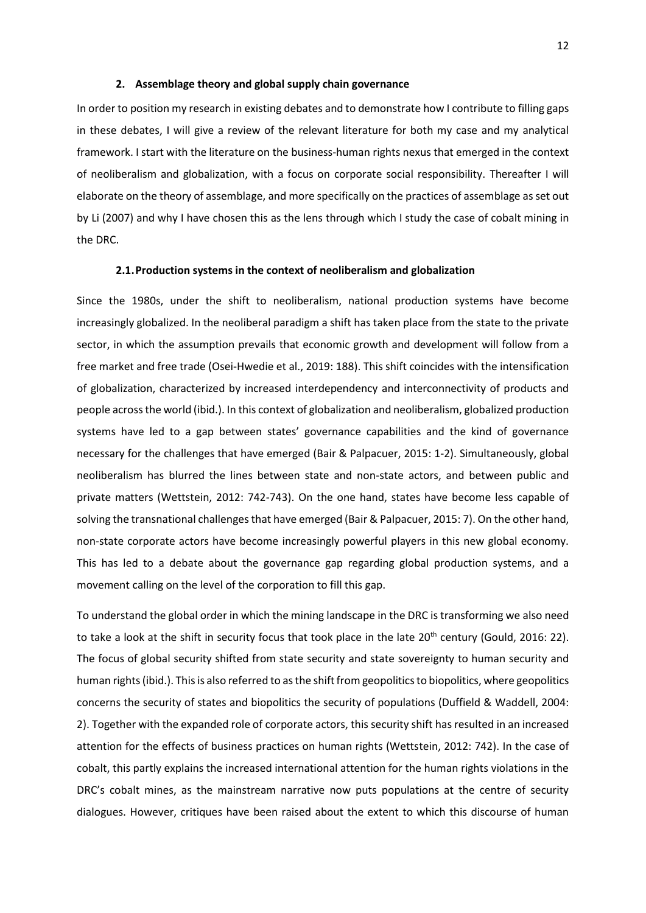#### **2. Assemblage theory and global supply chain governance**

In order to position my research in existing debates and to demonstrate how I contribute to filling gaps in these debates, I will give a review of the relevant literature for both my case and my analytical framework. I start with the literature on the business-human rights nexus that emerged in the context of neoliberalism and globalization, with a focus on corporate social responsibility. Thereafter I will elaborate on the theory of assemblage, and more specifically on the practices of assemblage as set out by Li (2007) and why I have chosen this as the lens through which I study the case of cobalt mining in the DRC.

# **2.1.Production systems in the context of neoliberalism and globalization**

Since the 1980s, under the shift to neoliberalism, national production systems have become increasingly globalized. In the neoliberal paradigm a shift has taken place from the state to the private sector, in which the assumption prevails that economic growth and development will follow from a free market and free trade (Osei-Hwedie et al., 2019: 188). This shift coincides with the intensification of globalization, characterized by increased interdependency and interconnectivity of products and people across the world (ibid.). In this context of globalization and neoliberalism, globalized production systems have led to a gap between states' governance capabilities and the kind of governance necessary for the challenges that have emerged (Bair & Palpacuer, 2015: 1-2). Simultaneously, global neoliberalism has blurred the lines between state and non-state actors, and between public and private matters (Wettstein, 2012: 742-743). On the one hand, states have become less capable of solving the transnational challenges that have emerged (Bair & Palpacuer, 2015: 7). On the other hand, non-state corporate actors have become increasingly powerful players in this new global economy. This has led to a debate about the governance gap regarding global production systems, and a movement calling on the level of the corporation to fill this gap.

To understand the global order in which the mining landscape in the DRC is transforming we also need to take a look at the shift in security focus that took place in the late  $20^{th}$  century (Gould, 2016: 22). The focus of global security shifted from state security and state sovereignty to human security and human rights (ibid.). This is also referred to as the shift from geopolitics to biopolitics, where geopolitics concerns the security of states and biopolitics the security of populations (Duffield & Waddell, 2004: 2). Together with the expanded role of corporate actors, this security shift has resulted in an increased attention for the effects of business practices on human rights (Wettstein, 2012: 742). In the case of cobalt, this partly explains the increased international attention for the human rights violations in the DRC's cobalt mines, as the mainstream narrative now puts populations at the centre of security dialogues. However, critiques have been raised about the extent to which this discourse of human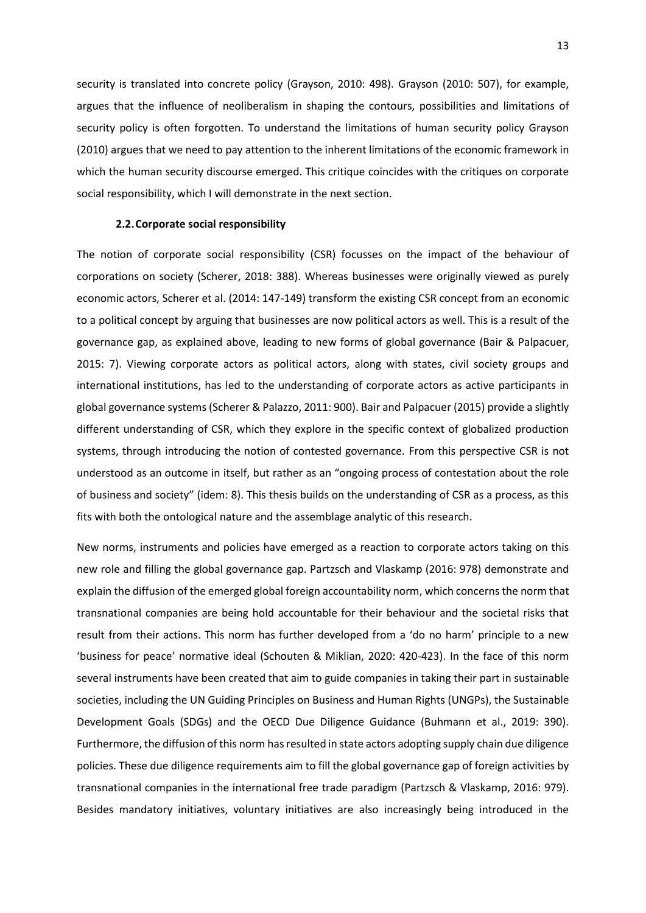security is translated into concrete policy (Grayson, 2010: 498). Grayson (2010: 507), for example, argues that the influence of neoliberalism in shaping the contours, possibilities and limitations of security policy is often forgotten. To understand the limitations of human security policy Grayson (2010) argues that we need to pay attention to the inherent limitations of the economic framework in which the human security discourse emerged. This critique coincides with the critiques on corporate social responsibility, which I will demonstrate in the next section.

#### **2.2.Corporate social responsibility**

The notion of corporate social responsibility (CSR) focusses on the impact of the behaviour of corporations on society (Scherer, 2018: 388). Whereas businesses were originally viewed as purely economic actors, Scherer et al. (2014: 147-149) transform the existing CSR concept from an economic to a political concept by arguing that businesses are now political actors as well. This is a result of the governance gap, as explained above, leading to new forms of global governance (Bair & Palpacuer, 2015: 7). Viewing corporate actors as political actors, along with states, civil society groups and international institutions, has led to the understanding of corporate actors as active participants in global governance systems (Scherer & Palazzo, 2011: 900). Bair and Palpacuer (2015) provide a slightly different understanding of CSR, which they explore in the specific context of globalized production systems, through introducing the notion of contested governance. From this perspective CSR is not understood as an outcome in itself, but rather as an "ongoing process of contestation about the role of business and society" (idem: 8). This thesis builds on the understanding of CSR as a process, as this fits with both the ontological nature and the assemblage analytic of this research.

New norms, instruments and policies have emerged as a reaction to corporate actors taking on this new role and filling the global governance gap. Partzsch and Vlaskamp (2016: 978) demonstrate and explain the diffusion of the emerged global foreign accountability norm, which concerns the norm that transnational companies are being hold accountable for their behaviour and the societal risks that result from their actions. This norm has further developed from a 'do no harm' principle to a new 'business for peace' normative ideal (Schouten & Miklian, 2020: 420-423). In the face of this norm several instruments have been created that aim to guide companies in taking their part in sustainable societies, including the UN Guiding Principles on Business and Human Rights (UNGPs), the Sustainable Development Goals (SDGs) and the OECD Due Diligence Guidance (Buhmann et al., 2019: 390). Furthermore, the diffusion of this norm has resulted in state actors adopting supply chain due diligence policies. These due diligence requirements aim to fill the global governance gap of foreign activities by transnational companies in the international free trade paradigm (Partzsch & Vlaskamp, 2016: 979). Besides mandatory initiatives, voluntary initiatives are also increasingly being introduced in the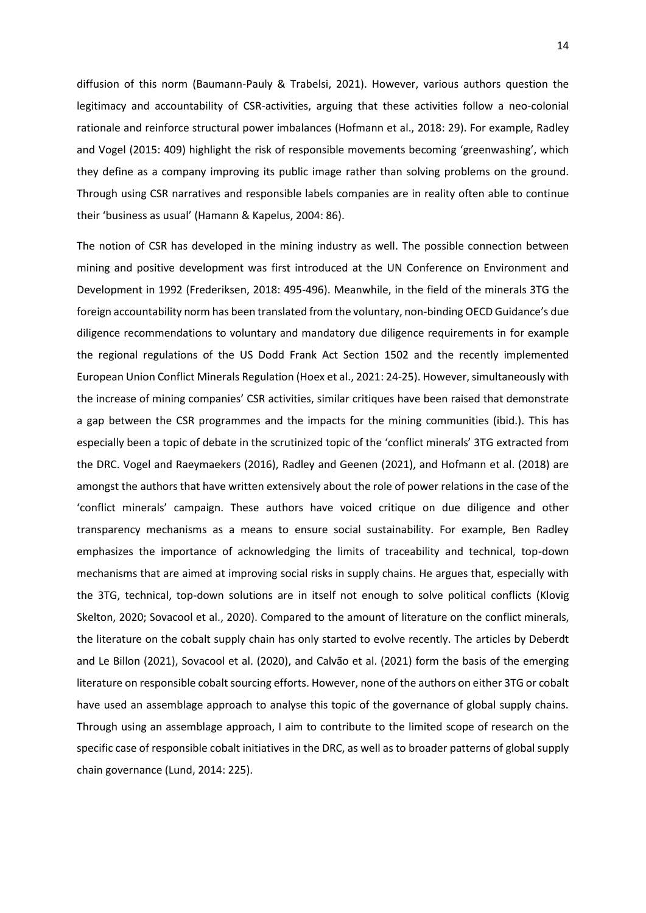diffusion of this norm (Baumann-Pauly & Trabelsi, 2021). However, various authors question the legitimacy and accountability of CSR-activities, arguing that these activities follow a neo-colonial rationale and reinforce structural power imbalances (Hofmann et al., 2018: 29). For example, Radley and Vogel (2015: 409) highlight the risk of responsible movements becoming 'greenwashing', which they define as a company improving its public image rather than solving problems on the ground. Through using CSR narratives and responsible labels companies are in reality often able to continue their 'business as usual' (Hamann & Kapelus, 2004: 86).

The notion of CSR has developed in the mining industry as well. The possible connection between mining and positive development was first introduced at the UN Conference on Environment and Development in 1992 (Frederiksen, 2018: 495-496). Meanwhile, in the field of the minerals 3TG the foreign accountability norm has been translated from the voluntary, non-binding OECD Guidance's due diligence recommendations to voluntary and mandatory due diligence requirements in for example the regional regulations of the US Dodd Frank Act Section 1502 and the recently implemented European Union Conflict Minerals Regulation (Hoex et al., 2021: 24-25). However, simultaneously with the increase of mining companies' CSR activities, similar critiques have been raised that demonstrate a gap between the CSR programmes and the impacts for the mining communities (ibid.). This has especially been a topic of debate in the scrutinized topic of the 'conflict minerals' 3TG extracted from the DRC. Vogel and Raeymaekers (2016), Radley and Geenen (2021), and Hofmann et al. (2018) are amongst the authors that have written extensively about the role of power relations in the case of the 'conflict minerals' campaign. These authors have voiced critique on due diligence and other transparency mechanisms as a means to ensure social sustainability. For example, Ben Radley emphasizes the importance of acknowledging the limits of traceability and technical, top-down mechanisms that are aimed at improving social risks in supply chains. He argues that, especially with the 3TG, technical, top-down solutions are in itself not enough to solve political conflicts (Klovig Skelton, 2020; Sovacool et al., 2020). Compared to the amount of literature on the conflict minerals, the literature on the cobalt supply chain has only started to evolve recently. The articles by Deberdt and Le Billon (2021), Sovacool et al. (2020), and Calvão et al. (2021) form the basis of the emerging literature on responsible cobalt sourcing efforts. However, none of the authors on either 3TG or cobalt have used an assemblage approach to analyse this topic of the governance of global supply chains. Through using an assemblage approach, I aim to contribute to the limited scope of research on the specific case of responsible cobalt initiatives in the DRC, as well as to broader patterns of global supply chain governance (Lund, 2014: 225).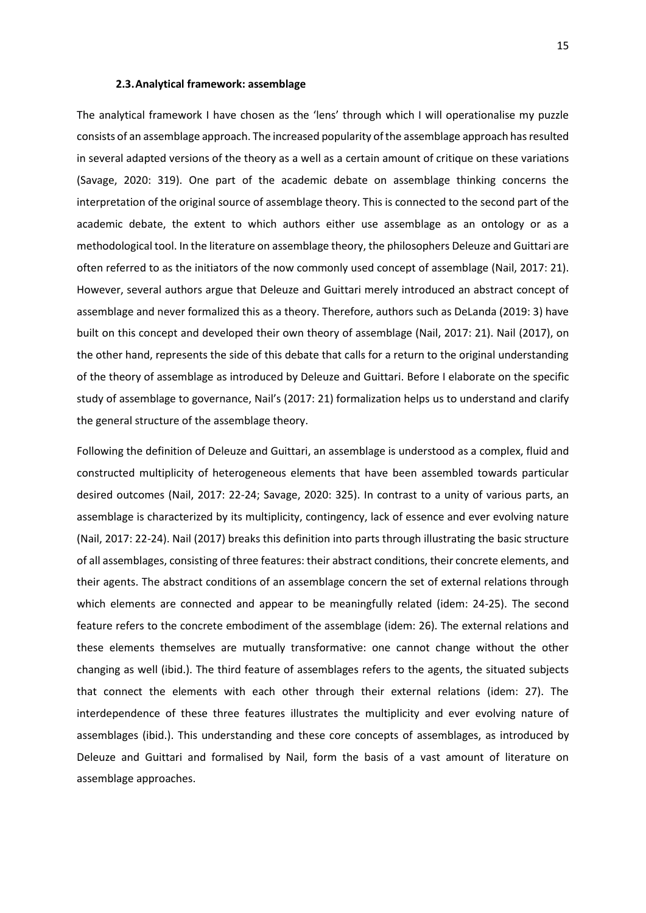#### **2.3.Analytical framework: assemblage**

The analytical framework I have chosen as the 'lens' through which I will operationalise my puzzle consists of an assemblage approach. The increased popularity of the assemblage approach has resulted in several adapted versions of the theory as a well as a certain amount of critique on these variations (Savage, 2020: 319). One part of the academic debate on assemblage thinking concerns the interpretation of the original source of assemblage theory. This is connected to the second part of the academic debate, the extent to which authors either use assemblage as an ontology or as a methodological tool. In the literature on assemblage theory, the philosophers Deleuze and Guittari are often referred to as the initiators of the now commonly used concept of assemblage (Nail, 2017: 21). However, several authors argue that Deleuze and Guittari merely introduced an abstract concept of assemblage and never formalized this as a theory. Therefore, authors such as DeLanda (2019: 3) have built on this concept and developed their own theory of assemblage (Nail, 2017: 21). Nail (2017), on the other hand, represents the side of this debate that calls for a return to the original understanding of the theory of assemblage as introduced by Deleuze and Guittari. Before I elaborate on the specific study of assemblage to governance, Nail's (2017: 21) formalization helps us to understand and clarify the general structure of the assemblage theory.

Following the definition of Deleuze and Guittari, an assemblage is understood as a complex, fluid and constructed multiplicity of heterogeneous elements that have been assembled towards particular desired outcomes (Nail, 2017: 22-24; Savage, 2020: 325). In contrast to a unity of various parts, an assemblage is characterized by its multiplicity, contingency, lack of essence and ever evolving nature (Nail, 2017: 22-24). Nail (2017) breaks this definition into parts through illustrating the basic structure of all assemblages, consisting of three features: their abstract conditions, their concrete elements, and their agents. The abstract conditions of an assemblage concern the set of external relations through which elements are connected and appear to be meaningfully related (idem: 24-25). The second feature refers to the concrete embodiment of the assemblage (idem: 26). The external relations and these elements themselves are mutually transformative: one cannot change without the other changing as well (ibid.). The third feature of assemblages refers to the agents, the situated subjects that connect the elements with each other through their external relations (idem: 27). The interdependence of these three features illustrates the multiplicity and ever evolving nature of assemblages (ibid.). This understanding and these core concepts of assemblages, as introduced by Deleuze and Guittari and formalised by Nail, form the basis of a vast amount of literature on assemblage approaches.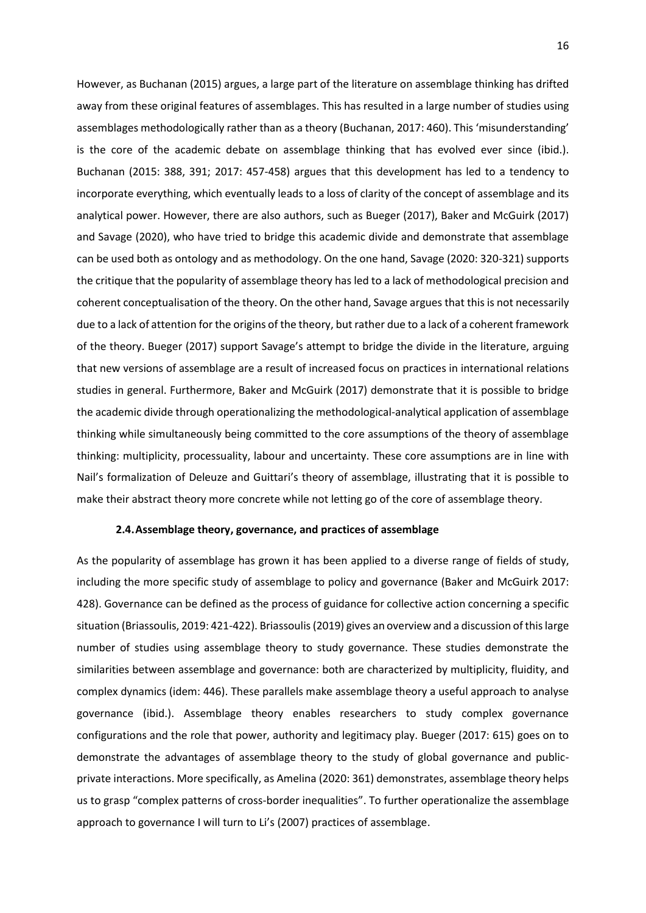However, as Buchanan (2015) argues, a large part of the literature on assemblage thinking has drifted away from these original features of assemblages. This has resulted in a large number of studies using assemblages methodologically rather than as a theory (Buchanan, 2017: 460). This 'misunderstanding' is the core of the academic debate on assemblage thinking that has evolved ever since (ibid.). Buchanan (2015: 388, 391; 2017: 457-458) argues that this development has led to a tendency to incorporate everything, which eventually leads to a loss of clarity of the concept of assemblage and its analytical power. However, there are also authors, such as Bueger (2017), Baker and McGuirk (2017) and Savage (2020), who have tried to bridge this academic divide and demonstrate that assemblage can be used both as ontology and as methodology. On the one hand, Savage (2020: 320-321) supports the critique that the popularity of assemblage theory has led to a lack of methodological precision and coherent conceptualisation of the theory. On the other hand, Savage argues that this is not necessarily due to a lack of attention for the origins of the theory, but rather due to a lack of a coherent framework of the theory. Bueger (2017) support Savage's attempt to bridge the divide in the literature, arguing that new versions of assemblage are a result of increased focus on practices in international relations studies in general. Furthermore, Baker and McGuirk (2017) demonstrate that it is possible to bridge the academic divide through operationalizing the methodological-analytical application of assemblage thinking while simultaneously being committed to the core assumptions of the theory of assemblage thinking: multiplicity, processuality, labour and uncertainty. These core assumptions are in line with Nail's formalization of Deleuze and Guittari's theory of assemblage, illustrating that it is possible to make their abstract theory more concrete while not letting go of the core of assemblage theory.

#### **2.4.Assemblage theory, governance, and practices of assemblage**

As the popularity of assemblage has grown it has been applied to a diverse range of fields of study, including the more specific study of assemblage to policy and governance (Baker and McGuirk 2017: 428). Governance can be defined as the process of guidance for collective action concerning a specific situation (Briassoulis, 2019: 421-422). Briassoulis (2019) gives an overview and a discussion of this large number of studies using assemblage theory to study governance. These studies demonstrate the similarities between assemblage and governance: both are characterized by multiplicity, fluidity, and complex dynamics (idem: 446). These parallels make assemblage theory a useful approach to analyse governance (ibid.). Assemblage theory enables researchers to study complex governance configurations and the role that power, authority and legitimacy play. Bueger (2017: 615) goes on to demonstrate the advantages of assemblage theory to the study of global governance and publicprivate interactions. More specifically, as Amelina (2020: 361) demonstrates, assemblage theory helps us to grasp "complex patterns of cross-border inequalities". To further operationalize the assemblage approach to governance I will turn to Li's (2007) practices of assemblage.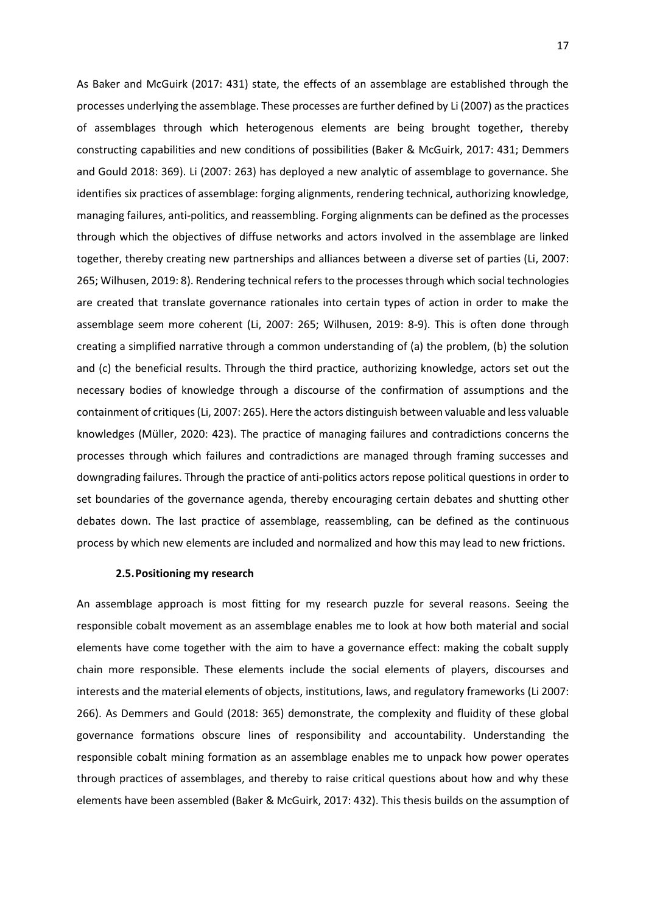As Baker and McGuirk (2017: 431) state, the effects of an assemblage are established through the processes underlying the assemblage. These processes are further defined by Li (2007) as the practices of assemblages through which heterogenous elements are being brought together, thereby constructing capabilities and new conditions of possibilities (Baker & McGuirk, 2017: 431; Demmers and Gould 2018: 369). Li (2007: 263) has deployed a new analytic of assemblage to governance. She identifies six practices of assemblage: forging alignments, rendering technical, authorizing knowledge, managing failures, anti-politics, and reassembling. Forging alignments can be defined as the processes through which the objectives of diffuse networks and actors involved in the assemblage are linked together, thereby creating new partnerships and alliances between a diverse set of parties (Li, 2007: 265; Wilhusen, 2019: 8). Rendering technical refers to the processes through which social technologies are created that translate governance rationales into certain types of action in order to make the assemblage seem more coherent (Li, 2007: 265; Wilhusen, 2019: 8-9). This is often done through creating a simplified narrative through a common understanding of (a) the problem, (b) the solution and (c) the beneficial results. Through the third practice, authorizing knowledge, actors set out the necessary bodies of knowledge through a discourse of the confirmation of assumptions and the containment of critiques(Li, 2007: 265). Here the actors distinguish between valuable and less valuable knowledges (Müller, 2020: 423). The practice of managing failures and contradictions concerns the processes through which failures and contradictions are managed through framing successes and downgrading failures. Through the practice of anti-politics actors repose political questions in order to set boundaries of the governance agenda, thereby encouraging certain debates and shutting other debates down. The last practice of assemblage, reassembling, can be defined as the continuous process by which new elements are included and normalized and how this may lead to new frictions.

# **2.5.Positioning my research**

An assemblage approach is most fitting for my research puzzle for several reasons. Seeing the responsible cobalt movement as an assemblage enables me to look at how both material and social elements have come together with the aim to have a governance effect: making the cobalt supply chain more responsible. These elements include the social elements of players, discourses and interests and the material elements of objects, institutions, laws, and regulatory frameworks (Li 2007: 266). As Demmers and Gould (2018: 365) demonstrate, the complexity and fluidity of these global governance formations obscure lines of responsibility and accountability. Understanding the responsible cobalt mining formation as an assemblage enables me to unpack how power operates through practices of assemblages, and thereby to raise critical questions about how and why these elements have been assembled (Baker & McGuirk, 2017: 432). This thesis builds on the assumption of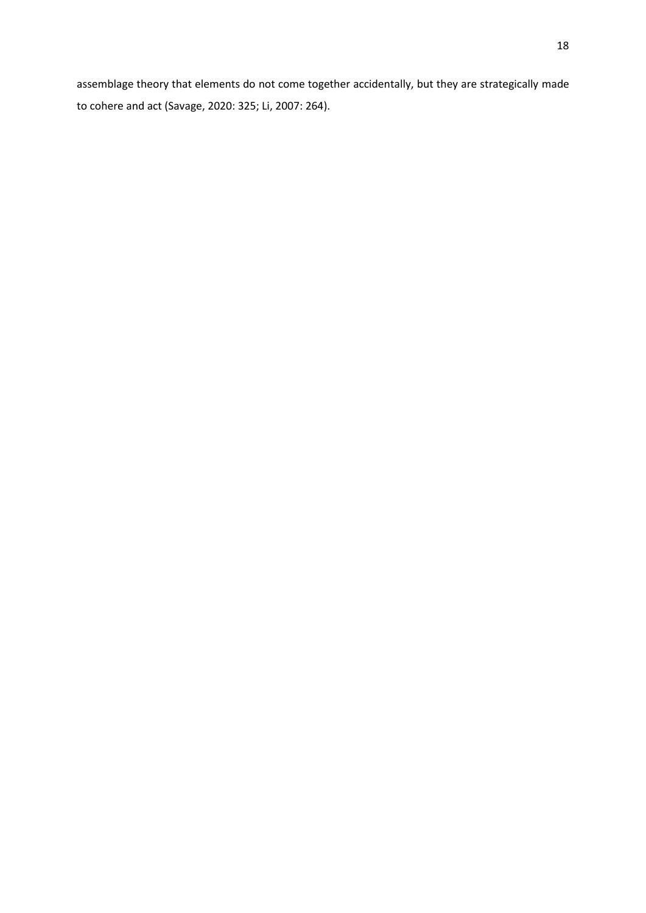assemblage theory that elements do not come together accidentally, but they are strategically made to cohere and act (Savage, 2020: 325; Li, 2007: 264).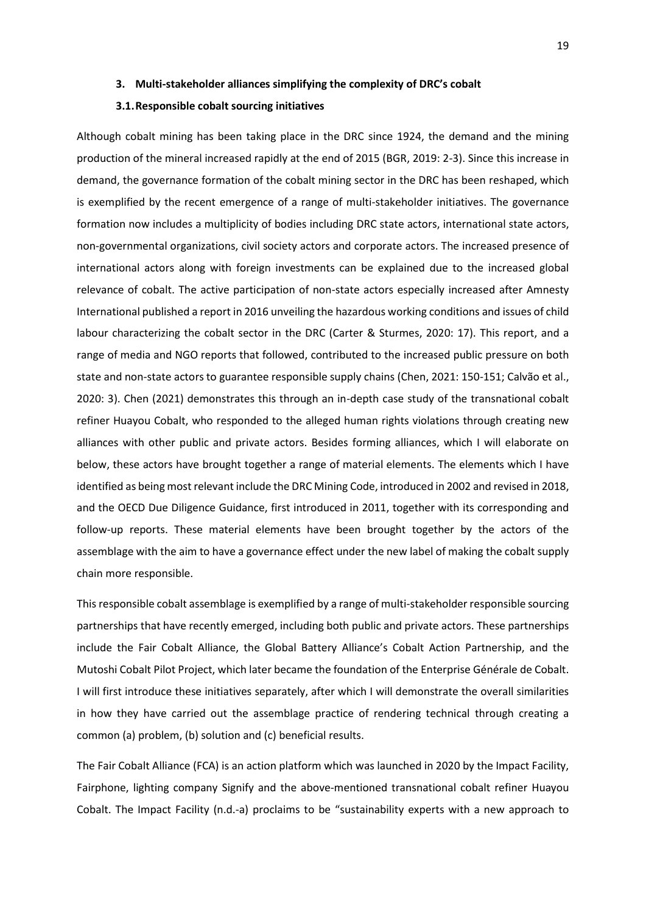# **3. Multi-stakeholder alliances simplifying the complexity of DRC's cobalt**

#### **3.1.Responsible cobalt sourcing initiatives**

Although cobalt mining has been taking place in the DRC since 1924, the demand and the mining production of the mineral increased rapidly at the end of 2015 (BGR, 2019: 2-3). Since this increase in demand, the governance formation of the cobalt mining sector in the DRC has been reshaped, which is exemplified by the recent emergence of a range of multi-stakeholder initiatives. The governance formation now includes a multiplicity of bodies including DRC state actors, international state actors, non-governmental organizations, civil society actors and corporate actors. The increased presence of international actors along with foreign investments can be explained due to the increased global relevance of cobalt. The active participation of non-state actors especially increased after Amnesty International published a report in 2016 unveiling the hazardous working conditions and issues of child labour characterizing the cobalt sector in the DRC (Carter & Sturmes, 2020: 17). This report, and a range of media and NGO reports that followed, contributed to the increased public pressure on both state and non-state actors to guarantee responsible supply chains (Chen, 2021: 150-151; Calvão et al., 2020: 3). Chen (2021) demonstrates this through an in-depth case study of the transnational cobalt refiner Huayou Cobalt, who responded to the alleged human rights violations through creating new alliances with other public and private actors. Besides forming alliances, which I will elaborate on below, these actors have brought together a range of material elements. The elements which I have identified as being most relevant include the DRC Mining Code, introduced in 2002 and revised in 2018, and the OECD Due Diligence Guidance, first introduced in 2011, together with its corresponding and follow-up reports. These material elements have been brought together by the actors of the assemblage with the aim to have a governance effect under the new label of making the cobalt supply chain more responsible.

This responsible cobalt assemblage is exemplified by a range of multi-stakeholder responsible sourcing partnerships that have recently emerged, including both public and private actors. These partnerships include the Fair Cobalt Alliance, the Global Battery Alliance's Cobalt Action Partnership, and the Mutoshi Cobalt Pilot Project, which later became the foundation of the Enterprise Générale de Cobalt. I will first introduce these initiatives separately, after which I will demonstrate the overall similarities in how they have carried out the assemblage practice of rendering technical through creating a common (a) problem, (b) solution and (c) beneficial results.

The Fair Cobalt Alliance (FCA) is an action platform which was launched in 2020 by the Impact Facility, Fairphone, lighting company Signify and the above-mentioned transnational cobalt refiner Huayou Cobalt. The Impact Facility (n.d.-a) proclaims to be "sustainability experts with a new approach to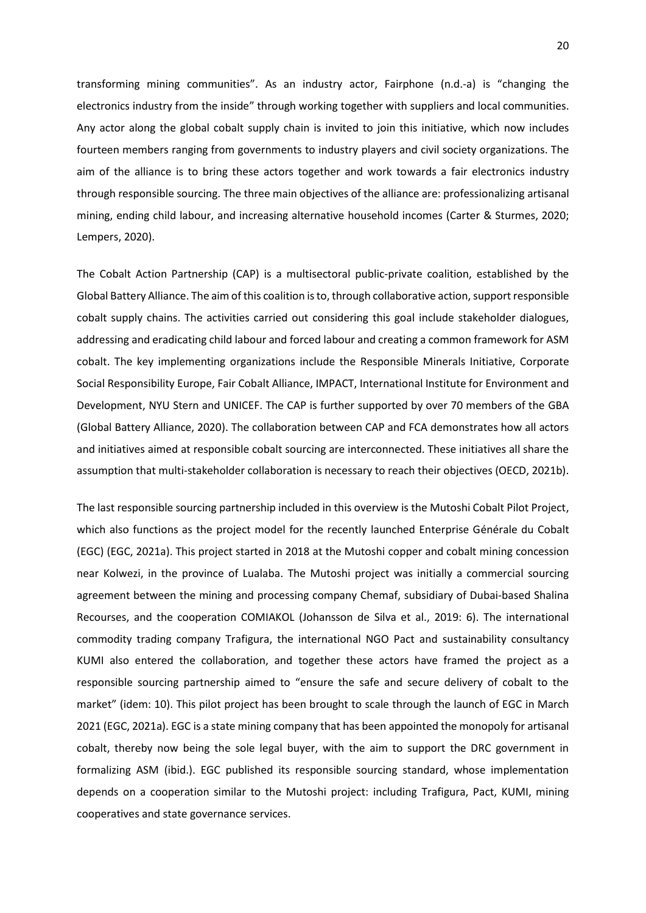transforming mining communities". As an industry actor, Fairphone (n.d.-a) is "changing the electronics industry from the inside" through working together with suppliers and local communities. Any actor along the global cobalt supply chain is invited to join this initiative, which now includes fourteen members ranging from governments to industry players and civil society organizations. The aim of the alliance is to bring these actors together and work towards a fair electronics industry through responsible sourcing. The three main objectives of the alliance are: professionalizing artisanal mining, ending child labour, and increasing alternative household incomes (Carter & Sturmes, 2020; Lempers, 2020).

The Cobalt Action Partnership (CAP) is a multisectoral public-private coalition, established by the Global Battery Alliance. The aim of this coalition is to, through collaborative action, support responsible cobalt supply chains. The activities carried out considering this goal include stakeholder dialogues, addressing and eradicating child labour and forced labour and creating a common framework for ASM cobalt. The key implementing organizations include the Responsible Minerals Initiative, Corporate Social Responsibility Europe, Fair Cobalt Alliance, IMPACT, International Institute for Environment and Development, NYU Stern and UNICEF. The CAP is further supported by over 70 members of the GBA (Global Battery Alliance, 2020). The collaboration between CAP and FCA demonstrates how all actors and initiatives aimed at responsible cobalt sourcing are interconnected. These initiatives all share the assumption that multi-stakeholder collaboration is necessary to reach their objectives (OECD, 2021b).

The last responsible sourcing partnership included in this overview is the Mutoshi Cobalt Pilot Project, which also functions as the project model for the recently launched Enterprise Générale du Cobalt (EGC) (EGC, 2021a). This project started in 2018 at the Mutoshi copper and cobalt mining concession near Kolwezi, in the province of Lualaba. The Mutoshi project was initially a commercial sourcing agreement between the mining and processing company Chemaf, subsidiary of Dubai-based Shalina Recourses, and the cooperation COMIAKOL (Johansson de Silva et al., 2019: 6). The international commodity trading company Trafigura, the international NGO Pact and sustainability consultancy KUMI also entered the collaboration, and together these actors have framed the project as a responsible sourcing partnership aimed to "ensure the safe and secure delivery of cobalt to the market" (idem: 10). This pilot project has been brought to scale through the launch of EGC in March 2021 (EGC, 2021a). EGC is a state mining company that has been appointed the monopoly for artisanal cobalt, thereby now being the sole legal buyer, with the aim to support the DRC government in formalizing ASM (ibid.). EGC published its responsible sourcing standard, whose implementation depends on a cooperation similar to the Mutoshi project: including Trafigura, Pact, KUMI, mining cooperatives and state governance services.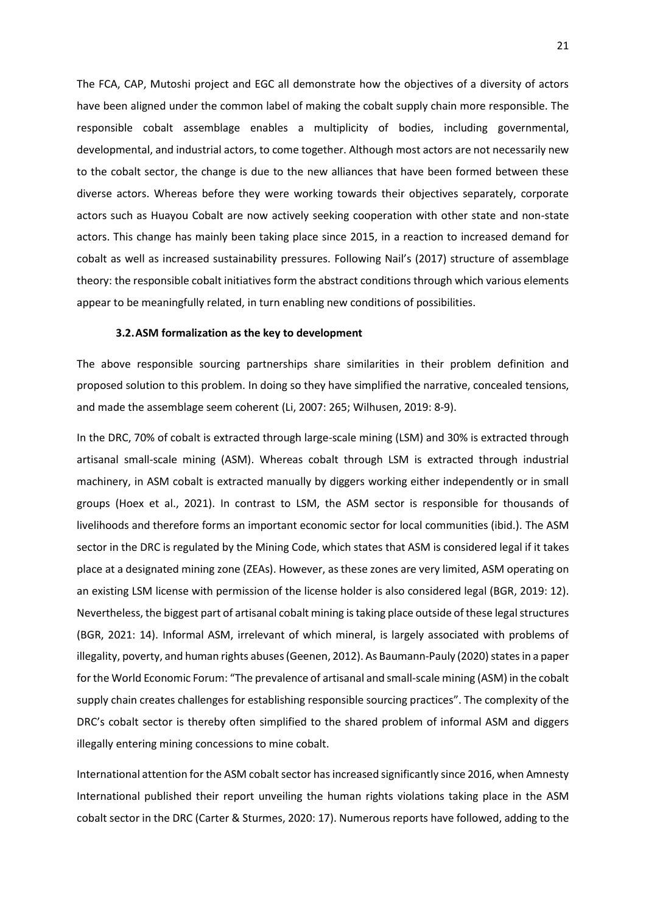The FCA, CAP, Mutoshi project and EGC all demonstrate how the objectives of a diversity of actors have been aligned under the common label of making the cobalt supply chain more responsible. The responsible cobalt assemblage enables a multiplicity of bodies, including governmental, developmental, and industrial actors, to come together. Although most actors are not necessarily new to the cobalt sector, the change is due to the new alliances that have been formed between these diverse actors. Whereas before they were working towards their objectives separately, corporate actors such as Huayou Cobalt are now actively seeking cooperation with other state and non-state actors. This change has mainly been taking place since 2015, in a reaction to increased demand for cobalt as well as increased sustainability pressures. Following Nail's (2017) structure of assemblage theory: the responsible cobalt initiatives form the abstract conditions through which various elements appear to be meaningfully related, in turn enabling new conditions of possibilities.

#### **3.2.ASM formalization as the key to development**

The above responsible sourcing partnerships share similarities in their problem definition and proposed solution to this problem. In doing so they have simplified the narrative, concealed tensions, and made the assemblage seem coherent (Li, 2007: 265; Wilhusen, 2019: 8-9).

In the DRC, 70% of cobalt is extracted through large-scale mining (LSM) and 30% is extracted through artisanal small-scale mining (ASM). Whereas cobalt through LSM is extracted through industrial machinery, in ASM cobalt is extracted manually by diggers working either independently or in small groups (Hoex et al., 2021). In contrast to LSM, the ASM sector is responsible for thousands of livelihoods and therefore forms an important economic sector for local communities (ibid.). The ASM sector in the DRC is regulated by the Mining Code, which states that ASM is considered legal if it takes place at a designated mining zone (ZEAs). However, as these zones are very limited, ASM operating on an existing LSM license with permission of the license holder is also considered legal (BGR, 2019: 12). Nevertheless, the biggest part of artisanal cobalt mining is taking place outside of these legal structures (BGR, 2021: 14). Informal ASM, irrelevant of which mineral, is largely associated with problems of illegality, poverty, and human rights abuses (Geenen, 2012). As Baumann-Pauly (2020) states in a paper for the World Economic Forum: "The prevalence of artisanal and small-scale mining (ASM) in the cobalt supply chain creates challenges for establishing responsible sourcing practices". The complexity of the DRC's cobalt sector is thereby often simplified to the shared problem of informal ASM and diggers illegally entering mining concessions to mine cobalt.

International attention for the ASM cobalt sector has increased significantly since 2016, when Amnesty International published their report unveiling the human rights violations taking place in the ASM cobalt sector in the DRC (Carter & Sturmes, 2020: 17). Numerous reports have followed, adding to the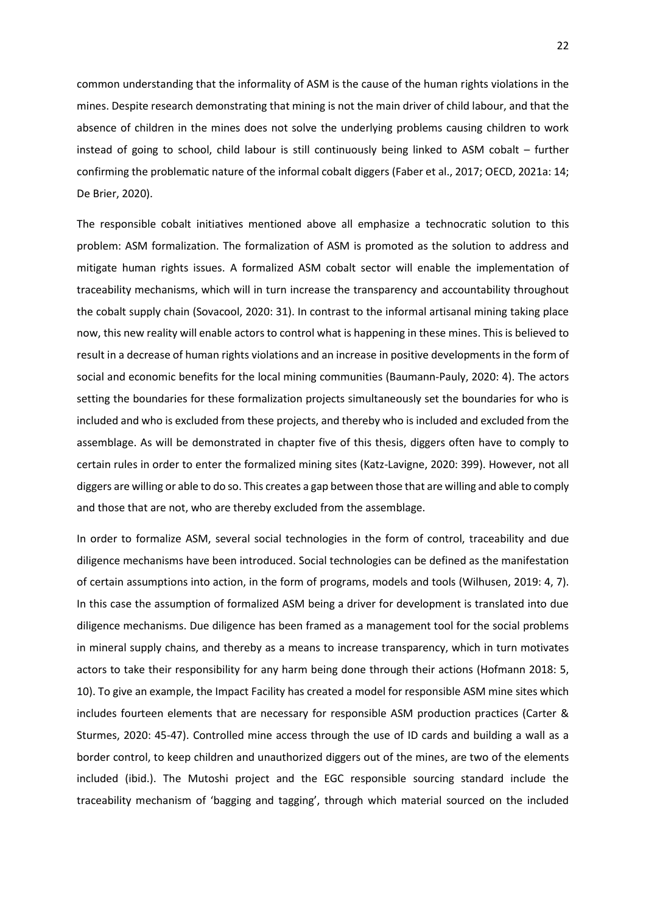common understanding that the informality of ASM is the cause of the human rights violations in the mines. Despite research demonstrating that mining is not the main driver of child labour, and that the absence of children in the mines does not solve the underlying problems causing children to work instead of going to school, child labour is still continuously being linked to ASM cobalt – further confirming the problematic nature of the informal cobalt diggers (Faber et al., 2017; OECD, 2021a: 14; De Brier, 2020).

The responsible cobalt initiatives mentioned above all emphasize a technocratic solution to this problem: ASM formalization. The formalization of ASM is promoted as the solution to address and mitigate human rights issues. A formalized ASM cobalt sector will enable the implementation of traceability mechanisms, which will in turn increase the transparency and accountability throughout the cobalt supply chain (Sovacool, 2020: 31). In contrast to the informal artisanal mining taking place now, this new reality will enable actors to control what is happening in these mines. This is believed to result in a decrease of human rights violations and an increase in positive developments in the form of social and economic benefits for the local mining communities (Baumann-Pauly, 2020: 4). The actors setting the boundaries for these formalization projects simultaneously set the boundaries for who is included and who is excluded from these projects, and thereby who is included and excluded from the assemblage. As will be demonstrated in chapter five of this thesis, diggers often have to comply to certain rules in order to enter the formalized mining sites (Katz-Lavigne, 2020: 399). However, not all diggers are willing or able to do so. This creates a gap between those that are willing and able to comply and those that are not, who are thereby excluded from the assemblage.

In order to formalize ASM, several social technologies in the form of control, traceability and due diligence mechanisms have been introduced. Social technologies can be defined as the manifestation of certain assumptions into action, in the form of programs, models and tools (Wilhusen, 2019: 4, 7). In this case the assumption of formalized ASM being a driver for development is translated into due diligence mechanisms. Due diligence has been framed as a management tool for the social problems in mineral supply chains, and thereby as a means to increase transparency, which in turn motivates actors to take their responsibility for any harm being done through their actions (Hofmann 2018: 5, 10). To give an example, the Impact Facility has created a model for responsible ASM mine sites which includes fourteen elements that are necessary for responsible ASM production practices (Carter & Sturmes, 2020: 45-47). Controlled mine access through the use of ID cards and building a wall as a border control, to keep children and unauthorized diggers out of the mines, are two of the elements included (ibid.). The Mutoshi project and the EGC responsible sourcing standard include the traceability mechanism of 'bagging and tagging', through which material sourced on the included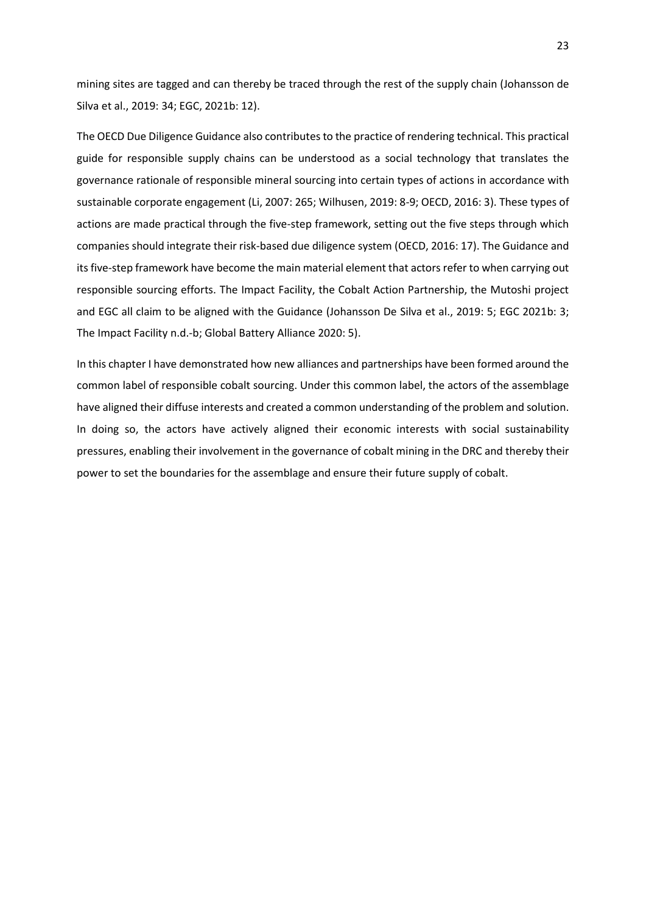mining sites are tagged and can thereby be traced through the rest of the supply chain (Johansson de Silva et al., 2019: 34; EGC, 2021b: 12).

The OECD Due Diligence Guidance also contributes to the practice of rendering technical. This practical guide for responsible supply chains can be understood as a social technology that translates the governance rationale of responsible mineral sourcing into certain types of actions in accordance with sustainable corporate engagement (Li, 2007: 265; Wilhusen, 2019: 8-9; OECD, 2016: 3). These types of actions are made practical through the five-step framework, setting out the five steps through which companies should integrate their risk-based due diligence system (OECD, 2016: 17). The Guidance and its five-step framework have become the main material element that actors refer to when carrying out responsible sourcing efforts. The Impact Facility, the Cobalt Action Partnership, the Mutoshi project and EGC all claim to be aligned with the Guidance (Johansson De Silva et al., 2019: 5; EGC 2021b: 3; The Impact Facility n.d.-b; Global Battery Alliance 2020: 5).

In this chapter I have demonstrated how new alliances and partnerships have been formed around the common label of responsible cobalt sourcing. Under this common label, the actors of the assemblage have aligned their diffuse interests and created a common understanding of the problem and solution. In doing so, the actors have actively aligned their economic interests with social sustainability pressures, enabling their involvement in the governance of cobalt mining in the DRC and thereby their power to set the boundaries for the assemblage and ensure their future supply of cobalt.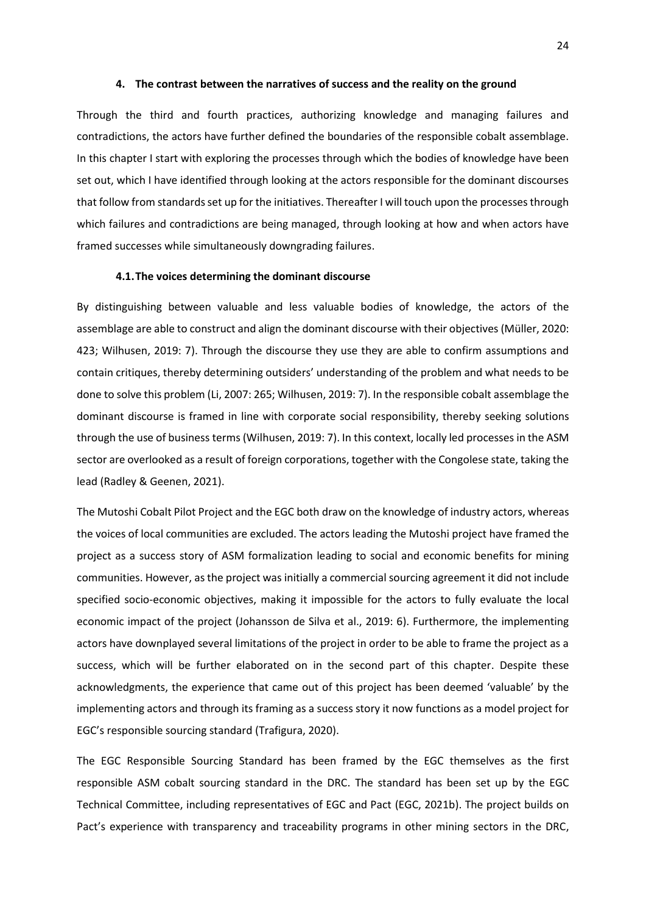#### **4. The contrast between the narratives of success and the reality on the ground**

Through the third and fourth practices, authorizing knowledge and managing failures and contradictions, the actors have further defined the boundaries of the responsible cobalt assemblage. In this chapter I start with exploring the processes through which the bodies of knowledge have been set out, which I have identified through looking at the actors responsible for the dominant discourses that follow from standards set up for the initiatives. Thereafter I will touch upon the processes through which failures and contradictions are being managed, through looking at how and when actors have framed successes while simultaneously downgrading failures.

#### **4.1.The voices determining the dominant discourse**

By distinguishing between valuable and less valuable bodies of knowledge, the actors of the assemblage are able to construct and align the dominant discourse with their objectives (Müller, 2020: 423; Wilhusen, 2019: 7). Through the discourse they use they are able to confirm assumptions and contain critiques, thereby determining outsiders' understanding of the problem and what needs to be done to solve this problem (Li, 2007: 265; Wilhusen, 2019: 7). In the responsible cobalt assemblage the dominant discourse is framed in line with corporate social responsibility, thereby seeking solutions through the use of business terms (Wilhusen, 2019: 7). In this context, locally led processes in the ASM sector are overlooked as a result of foreign corporations, together with the Congolese state, taking the lead (Radley & Geenen, 2021).

The Mutoshi Cobalt Pilot Project and the EGC both draw on the knowledge of industry actors, whereas the voices of local communities are excluded. The actors leading the Mutoshi project have framed the project as a success story of ASM formalization leading to social and economic benefits for mining communities. However, as the project was initially a commercial sourcing agreement it did not include specified socio-economic objectives, making it impossible for the actors to fully evaluate the local economic impact of the project (Johansson de Silva et al., 2019: 6). Furthermore, the implementing actors have downplayed several limitations of the project in order to be able to frame the project as a success, which will be further elaborated on in the second part of this chapter. Despite these acknowledgments, the experience that came out of this project has been deemed 'valuable' by the implementing actors and through its framing as a success story it now functions as a model project for EGC's responsible sourcing standard (Trafigura, 2020).

The EGC Responsible Sourcing Standard has been framed by the EGC themselves as the first responsible ASM cobalt sourcing standard in the DRC. The standard has been set up by the EGC Technical Committee, including representatives of EGC and Pact (EGC, 2021b). The project builds on Pact's experience with transparency and traceability programs in other mining sectors in the DRC,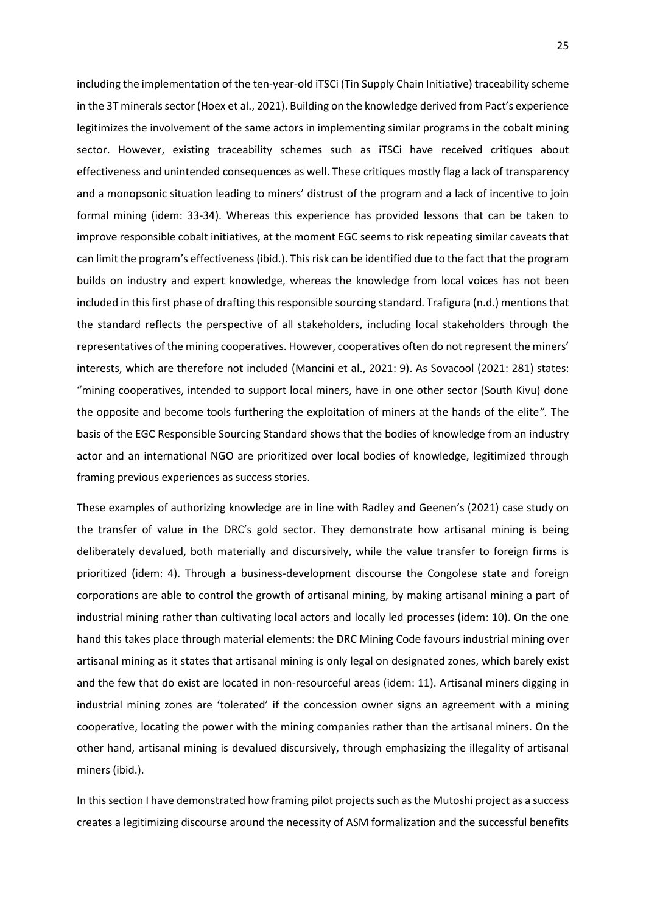including the implementation of the ten-year-old iTSCi (Tin Supply Chain Initiative) traceability scheme in the 3T minerals sector (Hoex et al., 2021). Building on the knowledge derived from Pact's experience legitimizes the involvement of the same actors in implementing similar programs in the cobalt mining sector. However, existing traceability schemes such as iTSCi have received critiques about effectiveness and unintended consequences as well. These critiques mostly flag a lack of transparency and a monopsonic situation leading to miners' distrust of the program and a lack of incentive to join formal mining (idem: 33-34). Whereas this experience has provided lessons that can be taken to improve responsible cobalt initiatives, at the moment EGC seems to risk repeating similar caveats that can limit the program's effectiveness (ibid.). This risk can be identified due to the fact that the program builds on industry and expert knowledge, whereas the knowledge from local voices has not been included in this first phase of drafting this responsible sourcing standard. Trafigura (n.d.) mentions that the standard reflects the perspective of all stakeholders, including local stakeholders through the representatives of the mining cooperatives. However, cooperatives often do not represent the miners' interests, which are therefore not included (Mancini et al., 2021: 9). As Sovacool (2021: 281) states: "mining cooperatives, intended to support local miners, have in one other sector (South Kivu) done the opposite and become tools furthering the exploitation of miners at the hands of the elite*".* The basis of the EGC Responsible Sourcing Standard shows that the bodies of knowledge from an industry actor and an international NGO are prioritized over local bodies of knowledge, legitimized through framing previous experiences as success stories.

These examples of authorizing knowledge are in line with Radley and Geenen's (2021) case study on the transfer of value in the DRC's gold sector. They demonstrate how artisanal mining is being deliberately devalued, both materially and discursively, while the value transfer to foreign firms is prioritized (idem: 4). Through a business-development discourse the Congolese state and foreign corporations are able to control the growth of artisanal mining, by making artisanal mining a part of industrial mining rather than cultivating local actors and locally led processes (idem: 10). On the one hand this takes place through material elements: the DRC Mining Code favours industrial mining over artisanal mining as it states that artisanal mining is only legal on designated zones, which barely exist and the few that do exist are located in non-resourceful areas (idem: 11). Artisanal miners digging in industrial mining zones are 'tolerated' if the concession owner signs an agreement with a mining cooperative, locating the power with the mining companies rather than the artisanal miners. On the other hand, artisanal mining is devalued discursively, through emphasizing the illegality of artisanal miners (ibid.).

In this section I have demonstrated how framing pilot projects such as the Mutoshi project as a success creates a legitimizing discourse around the necessity of ASM formalization and the successful benefits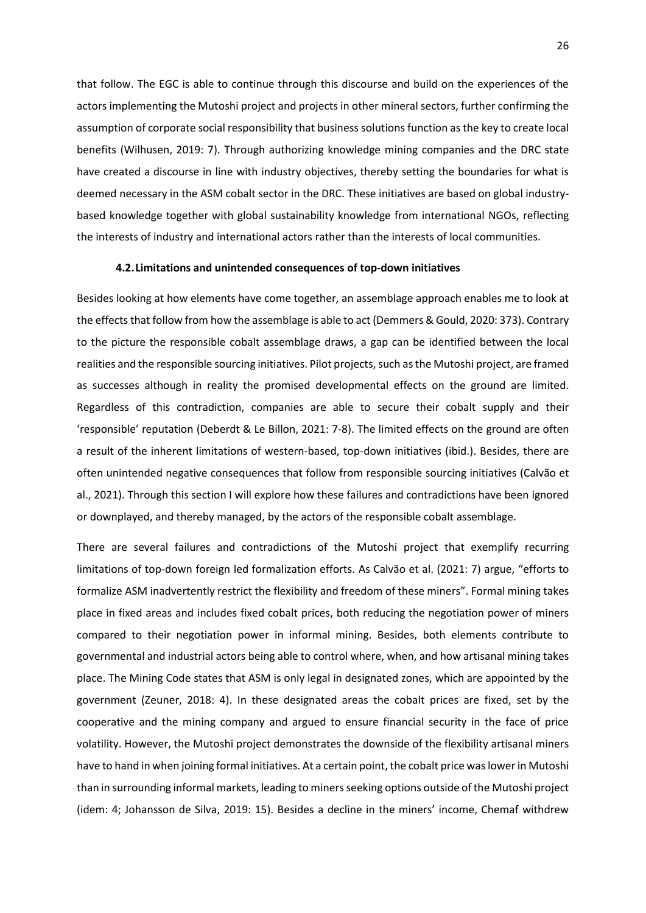that follow. The EGC is able to continue through this discourse and build on the experiences of the actors implementing the Mutoshi project and projects in other mineral sectors, further confirming the assumption of corporate social responsibility that business solutions function as the key to create local benefits (Wilhusen, 2019: 7). Through authorizing knowledge mining companies and the DRC state have created a discourse in line with industry objectives, thereby setting the boundaries for what is deemed necessary in the ASM cobalt sector in the DRC. These initiatives are based on global industrybased knowledge together with global sustainability knowledge from international NGOs, reflecting the interests of industry and international actors rather than the interests of local communities.

# **4.2.Limitations and unintended consequences of top-down initiatives**

Besides looking at how elements have come together, an assemblage approach enables me to look at the effects that follow from how the assemblage is able to act (Demmers & Gould, 2020: 373). Contrary to the picture the responsible cobalt assemblage draws, a gap can be identified between the local realities and the responsible sourcing initiatives. Pilot projects, such as the Mutoshi project, are framed as successes although in reality the promised developmental effects on the ground are limited. Regardless of this contradiction, companies are able to secure their cobalt supply and their 'responsible' reputation (Deberdt & Le Billon, 2021: 7-8). The limited effects on the ground are often a result of the inherent limitations of western-based, top-down initiatives (ibid.). Besides, there are often unintended negative consequences that follow from responsible sourcing initiatives (Calvão et al., 2021). Through this section I will explore how these failures and contradictions have been ignored or downplayed, and thereby managed, by the actors of the responsible cobalt assemblage.

There are several failures and contradictions of the Mutoshi project that exemplify recurring limitations of top-down foreign led formalization efforts. As Calvão et al. (2021: 7) argue, "efforts to formalize ASM inadvertently restrict the flexibility and freedom of these miners". Formal mining takes place in fixed areas and includes fixed cobalt prices, both reducing the negotiation power of miners compared to their negotiation power in informal mining. Besides, both elements contribute to governmental and industrial actors being able to control where, when, and how artisanal mining takes place. The Mining Code states that ASM is only legal in designated zones, which are appointed by the government (Zeuner, 2018: 4). In these designated areas the cobalt prices are fixed, set by the cooperative and the mining company and argued to ensure financial security in the face of price volatility. However, the Mutoshi project demonstrates the downside of the flexibility artisanal miners have to hand in when joining formal initiatives. At a certain point, the cobalt price was lower in Mutoshi than in surrounding informal markets, leading to miners seeking options outside of the Mutoshi project (idem: 4; Johansson de Silva, 2019: 15). Besides a decline in the miners' income, Chemaf withdrew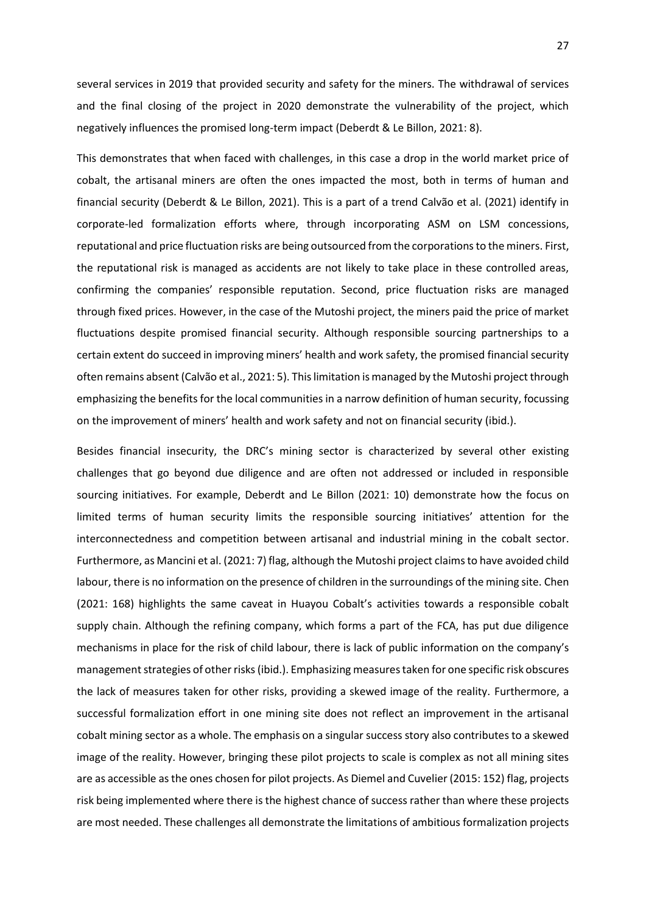several services in 2019 that provided security and safety for the miners. The withdrawal of services and the final closing of the project in 2020 demonstrate the vulnerability of the project, which negatively influences the promised long-term impact (Deberdt & Le Billon, 2021: 8).

This demonstrates that when faced with challenges, in this case a drop in the world market price of cobalt, the artisanal miners are often the ones impacted the most, both in terms of human and financial security (Deberdt & Le Billon, 2021). This is a part of a trend Calvão et al. (2021) identify in corporate-led formalization efforts where, through incorporating ASM on LSM concessions, reputational and price fluctuation risks are being outsourced from the corporations to the miners. First, the reputational risk is managed as accidents are not likely to take place in these controlled areas, confirming the companies' responsible reputation. Second, price fluctuation risks are managed through fixed prices. However, in the case of the Mutoshi project, the miners paid the price of market fluctuations despite promised financial security. Although responsible sourcing partnerships to a certain extent do succeed in improving miners' health and work safety, the promised financial security often remains absent (Calvão et al., 2021: 5). This limitation is managed by the Mutoshi project through emphasizing the benefits for the local communities in a narrow definition of human security, focussing on the improvement of miners' health and work safety and not on financial security (ibid.).

Besides financial insecurity, the DRC's mining sector is characterized by several other existing challenges that go beyond due diligence and are often not addressed or included in responsible sourcing initiatives. For example, Deberdt and Le Billon (2021: 10) demonstrate how the focus on limited terms of human security limits the responsible sourcing initiatives' attention for the interconnectedness and competition between artisanal and industrial mining in the cobalt sector. Furthermore, as Mancini et al. (2021: 7) flag, although the Mutoshi project claims to have avoided child labour, there is no information on the presence of children in the surroundings of the mining site. Chen (2021: 168) highlights the same caveat in Huayou Cobalt's activities towards a responsible cobalt supply chain. Although the refining company, which forms a part of the FCA, has put due diligence mechanisms in place for the risk of child labour, there is lack of public information on the company's management strategies of other risks (ibid.). Emphasizing measures taken for one specific risk obscures the lack of measures taken for other risks, providing a skewed image of the reality. Furthermore, a successful formalization effort in one mining site does not reflect an improvement in the artisanal cobalt mining sector as a whole. The emphasis on a singular success story also contributes to a skewed image of the reality. However, bringing these pilot projects to scale is complex as not all mining sites are as accessible as the ones chosen for pilot projects. As Diemel and Cuvelier (2015: 152) flag, projects risk being implemented where there is the highest chance of success rather than where these projects are most needed. These challenges all demonstrate the limitations of ambitious formalization projects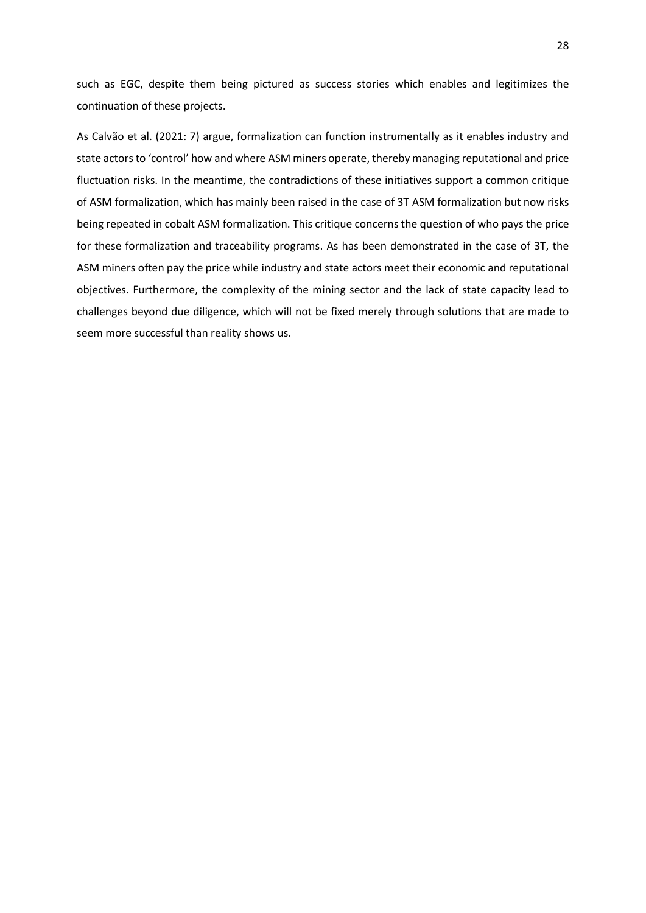such as EGC, despite them being pictured as success stories which enables and legitimizes the continuation of these projects.

As Calvão et al. (2021: 7) argue, formalization can function instrumentally as it enables industry and state actors to 'control' how and where ASM miners operate, thereby managing reputational and price fluctuation risks. In the meantime, the contradictions of these initiatives support a common critique of ASM formalization, which has mainly been raised in the case of 3T ASM formalization but now risks being repeated in cobalt ASM formalization. This critique concerns the question of who pays the price for these formalization and traceability programs. As has been demonstrated in the case of 3T, the ASM miners often pay the price while industry and state actors meet their economic and reputational objectives. Furthermore, the complexity of the mining sector and the lack of state capacity lead to challenges beyond due diligence, which will not be fixed merely through solutions that are made to seem more successful than reality shows us.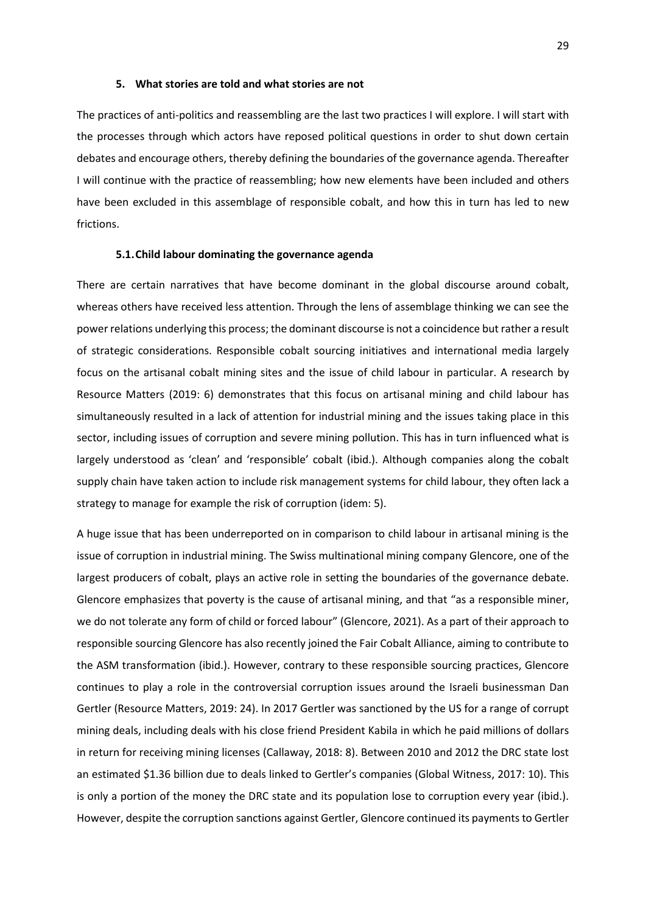# **5. What stories are told and what stories are not**

The practices of anti-politics and reassembling are the last two practices I will explore. I will start with the processes through which actors have reposed political questions in order to shut down certain debates and encourage others, thereby defining the boundaries of the governance agenda. Thereafter I will continue with the practice of reassembling; how new elements have been included and others have been excluded in this assemblage of responsible cobalt, and how this in turn has led to new frictions.

# **5.1.Child labour dominating the governance agenda**

There are certain narratives that have become dominant in the global discourse around cobalt, whereas others have received less attention. Through the lens of assemblage thinking we can see the power relations underlying this process; the dominant discourse is not a coincidence but rather a result of strategic considerations. Responsible cobalt sourcing initiatives and international media largely focus on the artisanal cobalt mining sites and the issue of child labour in particular. A research by Resource Matters (2019: 6) demonstrates that this focus on artisanal mining and child labour has simultaneously resulted in a lack of attention for industrial mining and the issues taking place in this sector, including issues of corruption and severe mining pollution. This has in turn influenced what is largely understood as 'clean' and 'responsible' cobalt (ibid.). Although companies along the cobalt supply chain have taken action to include risk management systems for child labour, they often lack a strategy to manage for example the risk of corruption (idem: 5).

A huge issue that has been underreported on in comparison to child labour in artisanal mining is the issue of corruption in industrial mining. The Swiss multinational mining company Glencore, one of the largest producers of cobalt, plays an active role in setting the boundaries of the governance debate. Glencore emphasizes that poverty is the cause of artisanal mining, and that "as a responsible miner, we do not tolerate any form of child or forced labour" (Glencore, 2021). As a part of their approach to responsible sourcing Glencore has also recently joined the Fair Cobalt Alliance, aiming to contribute to the ASM transformation (ibid.). However, contrary to these responsible sourcing practices, Glencore continues to play a role in the controversial corruption issues around the Israeli businessman Dan Gertler (Resource Matters, 2019: 24). In 2017 Gertler was sanctioned by the US for a range of corrupt mining deals, including deals with his close friend President Kabila in which he paid millions of dollars in return for receiving mining licenses (Callaway, 2018: 8). Between 2010 and 2012 the DRC state lost an estimated \$1.36 billion due to deals linked to Gertler's companies (Global Witness, 2017: 10). This is only a portion of the money the DRC state and its population lose to corruption every year (ibid.). However, despite the corruption sanctions against Gertler, Glencore continued its payments to Gertler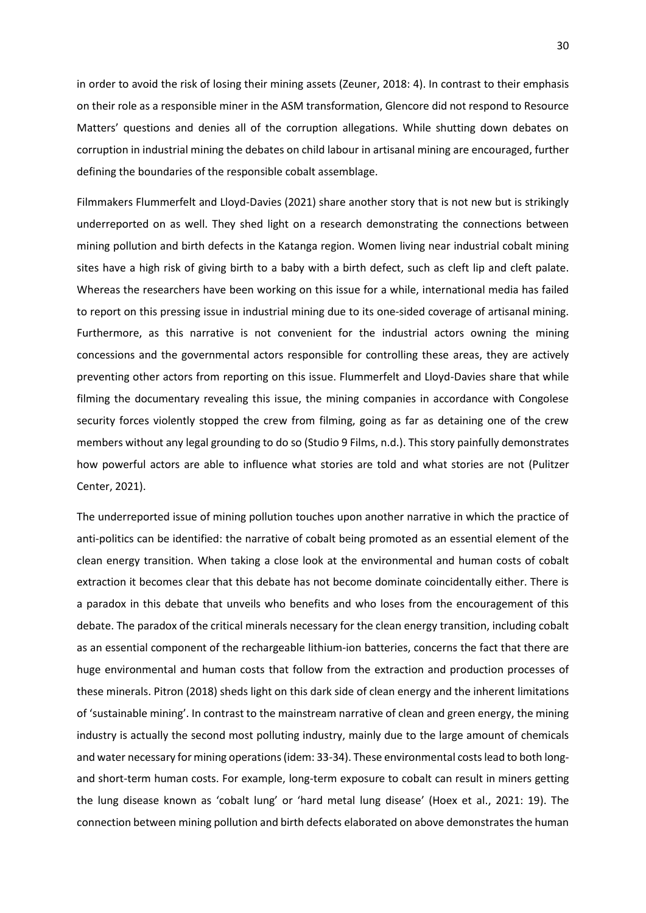in order to avoid the risk of losing their mining assets (Zeuner, 2018: 4). In contrast to their emphasis on their role as a responsible miner in the ASM transformation, Glencore did not respond to Resource Matters' questions and denies all of the corruption allegations. While shutting down debates on corruption in industrial mining the debates on child labour in artisanal mining are encouraged, further defining the boundaries of the responsible cobalt assemblage.

Filmmakers Flummerfelt and Lloyd-Davies (2021) share another story that is not new but is strikingly underreported on as well. They shed light on a research demonstrating the connections between mining pollution and birth defects in the Katanga region. Women living near industrial cobalt mining sites have a high risk of giving birth to a baby with a birth defect, such as cleft lip and cleft palate. Whereas the researchers have been working on this issue for a while, international media has failed to report on this pressing issue in industrial mining due to its one-sided coverage of artisanal mining. Furthermore, as this narrative is not convenient for the industrial actors owning the mining concessions and the governmental actors responsible for controlling these areas, they are actively preventing other actors from reporting on this issue. Flummerfelt and Lloyd-Davies share that while filming the documentary revealing this issue, the mining companies in accordance with Congolese security forces violently stopped the crew from filming, going as far as detaining one of the crew members without any legal grounding to do so (Studio 9 Films, n.d.). This story painfully demonstrates how powerful actors are able to influence what stories are told and what stories are not (Pulitzer Center, 2021).

The underreported issue of mining pollution touches upon another narrative in which the practice of anti-politics can be identified: the narrative of cobalt being promoted as an essential element of the clean energy transition. When taking a close look at the environmental and human costs of cobalt extraction it becomes clear that this debate has not become dominate coincidentally either. There is a paradox in this debate that unveils who benefits and who loses from the encouragement of this debate. The paradox of the critical minerals necessary for the clean energy transition, including cobalt as an essential component of the rechargeable lithium-ion batteries, concerns the fact that there are huge environmental and human costs that follow from the extraction and production processes of these minerals. Pitron (2018) sheds light on this dark side of clean energy and the inherent limitations of 'sustainable mining'. In contrast to the mainstream narrative of clean and green energy, the mining industry is actually the second most polluting industry, mainly due to the large amount of chemicals and water necessary for mining operations (idem: 33-34). These environmental costs lead to both longand short-term human costs. For example, long-term exposure to cobalt can result in miners getting the lung disease known as 'cobalt lung' or 'hard metal lung disease' (Hoex et al., 2021: 19). The connection between mining pollution and birth defects elaborated on above demonstrates the human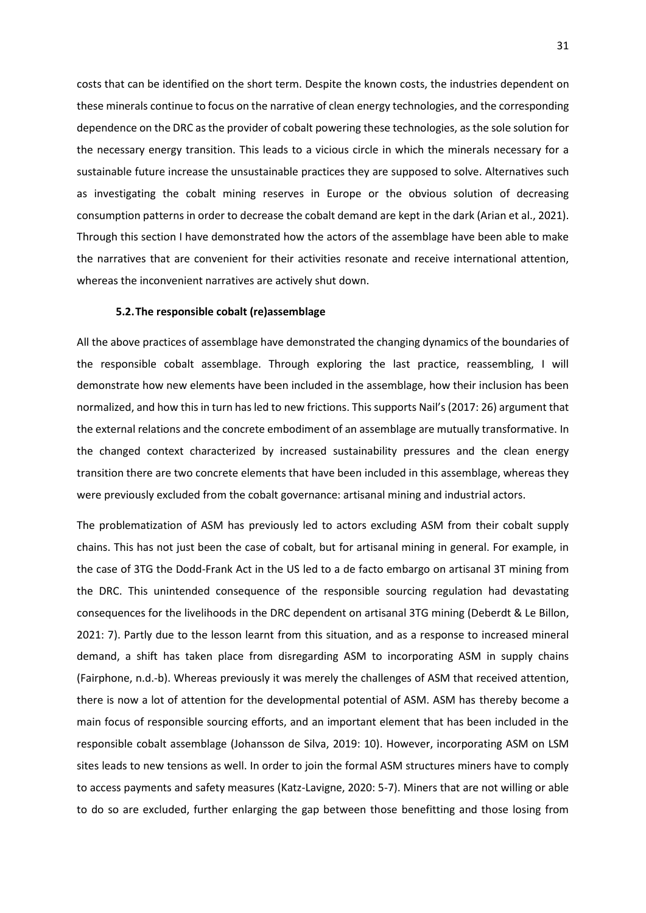costs that can be identified on the short term. Despite the known costs, the industries dependent on these minerals continue to focus on the narrative of clean energy technologies, and the corresponding dependence on the DRC as the provider of cobalt powering these technologies, as the sole solution for the necessary energy transition. This leads to a vicious circle in which the minerals necessary for a sustainable future increase the unsustainable practices they are supposed to solve. Alternatives such as investigating the cobalt mining reserves in Europe or the obvious solution of decreasing consumption patterns in order to decrease the cobalt demand are kept in the dark (Arian et al., 2021). Through this section I have demonstrated how the actors of the assemblage have been able to make the narratives that are convenient for their activities resonate and receive international attention, whereas the inconvenient narratives are actively shut down.

# **5.2.The responsible cobalt (re)assemblage**

All the above practices of assemblage have demonstrated the changing dynamics of the boundaries of the responsible cobalt assemblage. Through exploring the last practice, reassembling, I will demonstrate how new elements have been included in the assemblage, how their inclusion has been normalized, and how this in turn has led to new frictions. This supports Nail's (2017: 26) argument that the external relations and the concrete embodiment of an assemblage are mutually transformative. In the changed context characterized by increased sustainability pressures and the clean energy transition there are two concrete elements that have been included in this assemblage, whereas they were previously excluded from the cobalt governance: artisanal mining and industrial actors.

The problematization of ASM has previously led to actors excluding ASM from their cobalt supply chains. This has not just been the case of cobalt, but for artisanal mining in general. For example, in the case of 3TG the Dodd-Frank Act in the US led to a de facto embargo on artisanal 3T mining from the DRC. This unintended consequence of the responsible sourcing regulation had devastating consequences for the livelihoods in the DRC dependent on artisanal 3TG mining (Deberdt & Le Billon, 2021: 7). Partly due to the lesson learnt from this situation, and as a response to increased mineral demand, a shift has taken place from disregarding ASM to incorporating ASM in supply chains (Fairphone, n.d.-b). Whereas previously it was merely the challenges of ASM that received attention, there is now a lot of attention for the developmental potential of ASM. ASM has thereby become a main focus of responsible sourcing efforts, and an important element that has been included in the responsible cobalt assemblage (Johansson de Silva, 2019: 10). However, incorporating ASM on LSM sites leads to new tensions as well. In order to join the formal ASM structures miners have to comply to access payments and safety measures (Katz-Lavigne, 2020: 5-7). Miners that are not willing or able to do so are excluded, further enlarging the gap between those benefitting and those losing from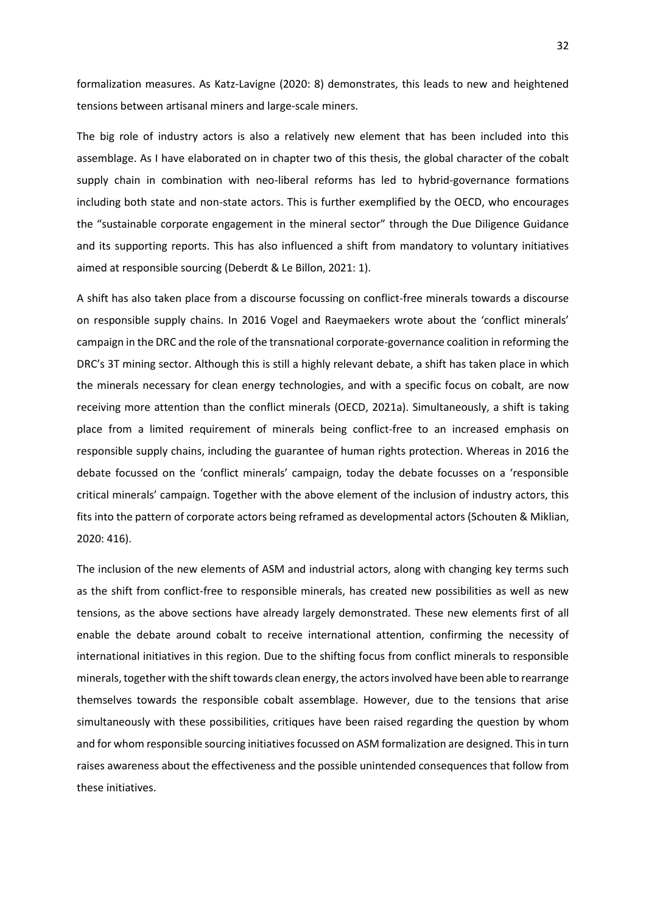formalization measures. As Katz-Lavigne (2020: 8) demonstrates, this leads to new and heightened tensions between artisanal miners and large-scale miners.

The big role of industry actors is also a relatively new element that has been included into this assemblage. As I have elaborated on in chapter two of this thesis, the global character of the cobalt supply chain in combination with neo-liberal reforms has led to hybrid-governance formations including both state and non-state actors. This is further exemplified by the OECD, who encourages the "sustainable corporate engagement in the mineral sector" through the Due Diligence Guidance and its supporting reports. This has also influenced a shift from mandatory to voluntary initiatives aimed at responsible sourcing (Deberdt & Le Billon, 2021: 1).

A shift has also taken place from a discourse focussing on conflict-free minerals towards a discourse on responsible supply chains. In 2016 Vogel and Raeymaekers wrote about the 'conflict minerals' campaign in the DRC and the role of the transnational corporate-governance coalition in reforming the DRC's 3T mining sector. Although this is still a highly relevant debate, a shift has taken place in which the minerals necessary for clean energy technologies, and with a specific focus on cobalt, are now receiving more attention than the conflict minerals (OECD, 2021a). Simultaneously, a shift is taking place from a limited requirement of minerals being conflict-free to an increased emphasis on responsible supply chains, including the guarantee of human rights protection. Whereas in 2016 the debate focussed on the 'conflict minerals' campaign, today the debate focusses on a 'responsible critical minerals' campaign. Together with the above element of the inclusion of industry actors, this fits into the pattern of corporate actors being reframed as developmental actors (Schouten & Miklian, 2020: 416).

The inclusion of the new elements of ASM and industrial actors, along with changing key terms such as the shift from conflict-free to responsible minerals, has created new possibilities as well as new tensions, as the above sections have already largely demonstrated. These new elements first of all enable the debate around cobalt to receive international attention, confirming the necessity of international initiatives in this region. Due to the shifting focus from conflict minerals to responsible minerals, together with the shift towards clean energy, the actors involved have been able to rearrange themselves towards the responsible cobalt assemblage. However, due to the tensions that arise simultaneously with these possibilities, critiques have been raised regarding the question by whom and for whom responsible sourcing initiatives focussed on ASM formalization are designed. This in turn raises awareness about the effectiveness and the possible unintended consequences that follow from these initiatives.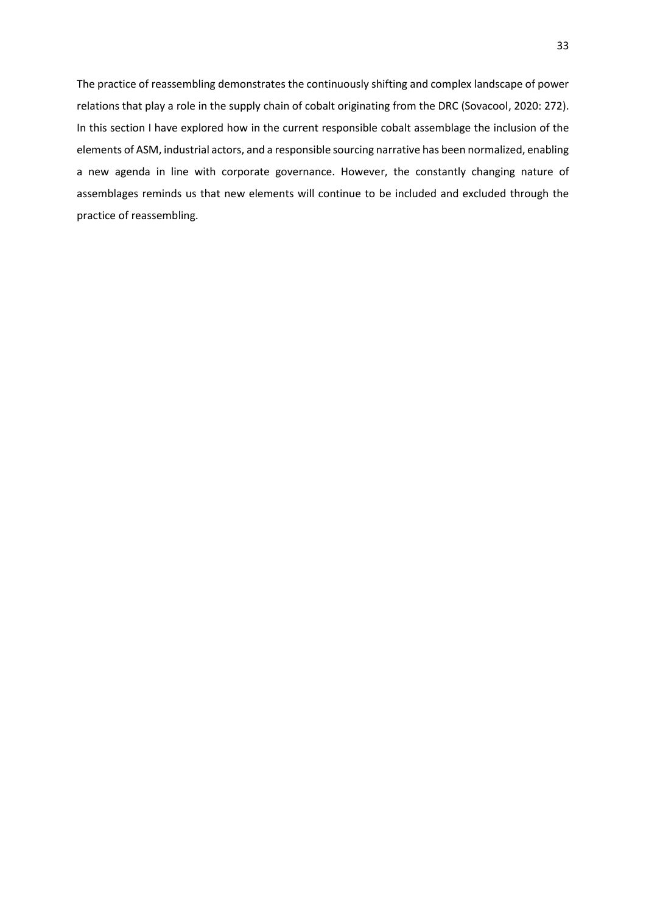The practice of reassembling demonstrates the continuously shifting and complex landscape of power relations that play a role in the supply chain of cobalt originating from the DRC (Sovacool, 2020: 272). In this section I have explored how in the current responsible cobalt assemblage the inclusion of the elements of ASM, industrial actors, and a responsible sourcing narrative has been normalized, enabling a new agenda in line with corporate governance. However, the constantly changing nature of assemblages reminds us that new elements will continue to be included and excluded through the practice of reassembling.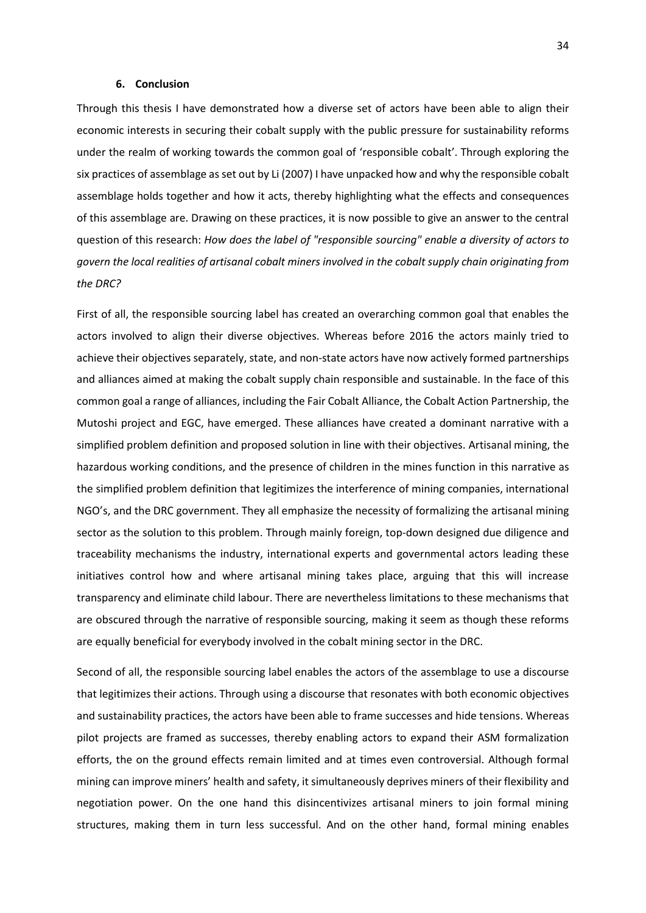# **6. Conclusion**

Through this thesis I have demonstrated how a diverse set of actors have been able to align their economic interests in securing their cobalt supply with the public pressure for sustainability reforms under the realm of working towards the common goal of 'responsible cobalt'. Through exploring the six practices of assemblage as set out by Li (2007) I have unpacked how and why the responsible cobalt assemblage holds together and how it acts, thereby highlighting what the effects and consequences of this assemblage are. Drawing on these practices, it is now possible to give an answer to the central question of this research: *How does the label of "responsible sourcing" enable a diversity of actors to govern the local realities of artisanal cobalt miners involved in the cobalt supply chain originating from the DRC?*

First of all, the responsible sourcing label has created an overarching common goal that enables the actors involved to align their diverse objectives. Whereas before 2016 the actors mainly tried to achieve their objectives separately, state, and non-state actors have now actively formed partnerships and alliances aimed at making the cobalt supply chain responsible and sustainable. In the face of this common goal a range of alliances, including the Fair Cobalt Alliance, the Cobalt Action Partnership, the Mutoshi project and EGC, have emerged. These alliances have created a dominant narrative with a simplified problem definition and proposed solution in line with their objectives. Artisanal mining, the hazardous working conditions, and the presence of children in the mines function in this narrative as the simplified problem definition that legitimizes the interference of mining companies, international NGO's, and the DRC government. They all emphasize the necessity of formalizing the artisanal mining sector as the solution to this problem. Through mainly foreign, top-down designed due diligence and traceability mechanisms the industry, international experts and governmental actors leading these initiatives control how and where artisanal mining takes place, arguing that this will increase transparency and eliminate child labour. There are nevertheless limitations to these mechanisms that are obscured through the narrative of responsible sourcing, making it seem as though these reforms are equally beneficial for everybody involved in the cobalt mining sector in the DRC.

Second of all, the responsible sourcing label enables the actors of the assemblage to use a discourse that legitimizes their actions. Through using a discourse that resonates with both economic objectives and sustainability practices, the actors have been able to frame successes and hide tensions. Whereas pilot projects are framed as successes, thereby enabling actors to expand their ASM formalization efforts, the on the ground effects remain limited and at times even controversial. Although formal mining can improve miners' health and safety, it simultaneously deprives miners of their flexibility and negotiation power. On the one hand this disincentivizes artisanal miners to join formal mining structures, making them in turn less successful. And on the other hand, formal mining enables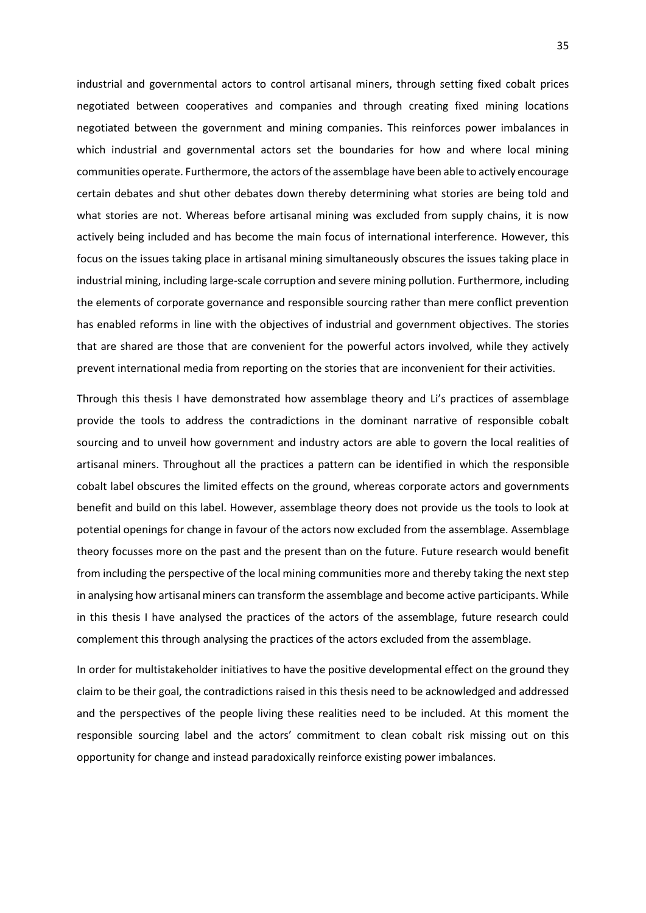industrial and governmental actors to control artisanal miners, through setting fixed cobalt prices negotiated between cooperatives and companies and through creating fixed mining locations negotiated between the government and mining companies. This reinforces power imbalances in which industrial and governmental actors set the boundaries for how and where local mining communities operate. Furthermore, the actors of the assemblage have been able to actively encourage certain debates and shut other debates down thereby determining what stories are being told and what stories are not. Whereas before artisanal mining was excluded from supply chains, it is now actively being included and has become the main focus of international interference. However, this focus on the issues taking place in artisanal mining simultaneously obscures the issues taking place in industrial mining, including large-scale corruption and severe mining pollution. Furthermore, including the elements of corporate governance and responsible sourcing rather than mere conflict prevention has enabled reforms in line with the objectives of industrial and government objectives. The stories that are shared are those that are convenient for the powerful actors involved, while they actively prevent international media from reporting on the stories that are inconvenient for their activities.

Through this thesis I have demonstrated how assemblage theory and Li's practices of assemblage provide the tools to address the contradictions in the dominant narrative of responsible cobalt sourcing and to unveil how government and industry actors are able to govern the local realities of artisanal miners. Throughout all the practices a pattern can be identified in which the responsible cobalt label obscures the limited effects on the ground, whereas corporate actors and governments benefit and build on this label. However, assemblage theory does not provide us the tools to look at potential openings for change in favour of the actors now excluded from the assemblage. Assemblage theory focusses more on the past and the present than on the future. Future research would benefit from including the perspective of the local mining communities more and thereby taking the next step in analysing how artisanal miners can transform the assemblage and become active participants. While in this thesis I have analysed the practices of the actors of the assemblage, future research could complement this through analysing the practices of the actors excluded from the assemblage.

In order for multistakeholder initiatives to have the positive developmental effect on the ground they claim to be their goal, the contradictions raised in this thesis need to be acknowledged and addressed and the perspectives of the people living these realities need to be included. At this moment the responsible sourcing label and the actors' commitment to clean cobalt risk missing out on this opportunity for change and instead paradoxically reinforce existing power imbalances.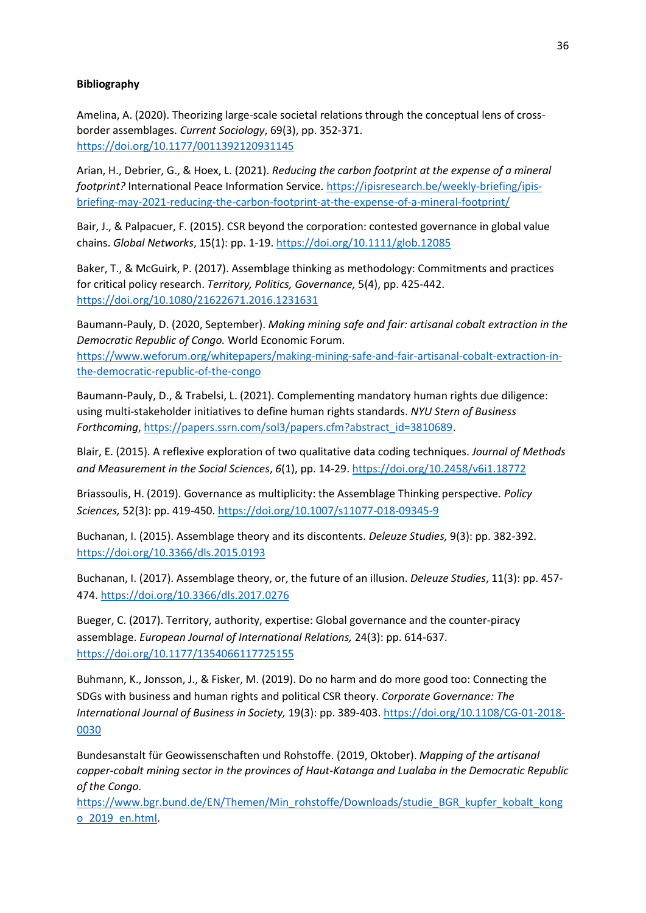# **Bibliography**

Amelina, A. (2020). Theorizing large-scale societal relations through the conceptual lens of crossborder assemblages. *Current Sociology*, 69(3), pp. 352-371. <https://doi.org/10.1177/0011392120931145>

Arian, H., Debrier, G., & Hoex, L. (2021). *Reducing the carbon footprint at the expense of a mineral footprint?* International Peace Information Service. [https://ipisresearch.be/weekly-briefing/ipis](https://ipisresearch.be/weekly-briefing/ipis-briefing-may-2021-reducing-the-carbon-footprint-at-the-expense-of-a-mineral-footprint/)[briefing-may-2021-reducing-the-carbon-footprint-at-the-expense-of-a-mineral-footprint/](https://ipisresearch.be/weekly-briefing/ipis-briefing-may-2021-reducing-the-carbon-footprint-at-the-expense-of-a-mineral-footprint/)

Bair, J., & Palpacuer, F. (2015). CSR beyond the corporation: contested governance in global value chains. *Global Networks*, 15(1): pp. 1-19. <https://doi.org/10.1111/glob.12085>

Baker, T., & McGuirk, P. (2017). Assemblage thinking as methodology: Commitments and practices for critical policy research. *Territory, Politics, Governance,* 5(4), pp. 425-442. <https://doi.org/10.1080/21622671.2016.1231631>

Baumann-Pauly, D. (2020, September). *Making mining safe and fair: artisanal cobalt extraction in the Democratic Republic of Congo.* World Economic Forum. [https://www.weforum.org/whitepapers/making-mining-safe-and-fair-artisanal-cobalt-extraction-in](https://www.weforum.org/whitepapers/making-mining-safe-and-fair-artisanal-cobalt-extraction-in-the-democratic-republic-of-the-congo)[the-democratic-republic-of-the-congo](https://www.weforum.org/whitepapers/making-mining-safe-and-fair-artisanal-cobalt-extraction-in-the-democratic-republic-of-the-congo)

Baumann-Pauly, D., & Trabelsi, L. (2021). Complementing mandatory human rights due diligence: using multi-stakeholder initiatives to define human rights standards. *NYU Stern of Business Forthcoming*[, https://papers.ssrn.com/sol3/papers.cfm?abstract\\_id=3810689.](https://papers.ssrn.com/sol3/papers.cfm?abstract_id=3810689)

Blair, E. (2015). A reflexive exploration of two qualitative data coding techniques. *Journal of Methods and Measurement in the Social Sciences*, *6*(1), pp. 14-29. <https://doi.org/10.2458/v6i1.18772>

Briassoulis, H. (2019). Governance as multiplicity: the Assemblage Thinking perspective. *Policy Sciences,* 52(3): pp. 419-450. <https://doi.org/10.1007/s11077-018-09345-9>

Buchanan, I. (2015). Assemblage theory and its discontents. *Deleuze Studies,* 9(3): pp. 382-392. <https://doi.org/10.3366/dls.2015.0193>

Buchanan, I. (2017). Assemblage theory, or, the future of an illusion. *Deleuze Studies*, 11(3): pp. 457- 474. <https://doi.org/10.3366/dls.2017.0276>

Bueger, C. (2017). Territory, authority, expertise: Global governance and the counter-piracy assemblage. *European Journal of International Relations,* 24(3): pp. 614-637. <https://doi.org/10.1177/1354066117725155>

Buhmann, K., Jonsson, J., & Fisker, M. (2019). Do no harm and do more good too: Connecting the SDGs with business and human rights and political CSR theory. *Corporate Governance: The International Journal of Business in Society,* 19(3): pp. 389-403[. https://doi.org/10.1108/CG-01-2018-](https://doi.org/10.1108/CG-01-2018-0030) [0030](https://doi.org/10.1108/CG-01-2018-0030)

Bundesanstalt für Geowissenschaften und Rohstoffe. (2019, Oktober). *Mapping of the artisanal copper-cobalt mining sector in the provinces of Haut-Katanga and Lualaba in the Democratic Republic of the Congo.* 

[https://www.bgr.bund.de/EN/Themen/Min\\_rohstoffe/Downloads/studie\\_BGR\\_kupfer\\_kobalt\\_kong](https://www.bgr.bund.de/EN/Themen/Min_rohstoffe/Downloads/studie_BGR_kupfer_kobalt_kongo_2019_en.html) [o\\_2019\\_en.html.](https://www.bgr.bund.de/EN/Themen/Min_rohstoffe/Downloads/studie_BGR_kupfer_kobalt_kongo_2019_en.html)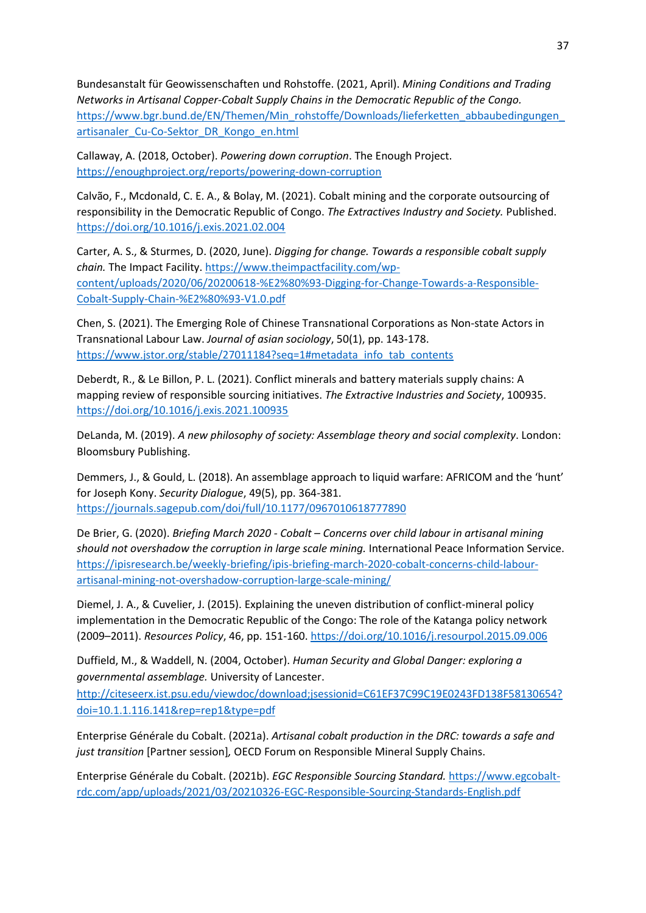Bundesanstalt für Geowissenschaften und Rohstoffe. (2021, April). *Mining Conditions and Trading Networks in Artisanal Copper-Cobalt Supply Chains in the Democratic Republic of the Congo.* [https://www.bgr.bund.de/EN/Themen/Min\\_rohstoffe/Downloads/lieferketten\\_abbaubedingungen\\_](https://www.bgr.bund.de/EN/Themen/Min_rohstoffe/Downloads/lieferketten_abbaubedingungen_artisanaler_Cu-Co-Sektor_DR_Kongo_en.html) [artisanaler\\_Cu-Co-Sektor\\_DR\\_Kongo\\_en.html](https://www.bgr.bund.de/EN/Themen/Min_rohstoffe/Downloads/lieferketten_abbaubedingungen_artisanaler_Cu-Co-Sektor_DR_Kongo_en.html)

Callaway, A. (2018, October). *Powering down corruption*. The Enough Project. <https://enoughproject.org/reports/powering-down-corruption>

Calvão, F., Mcdonald, C. E. A., & Bolay, M. (2021). Cobalt mining and the corporate outsourcing of responsibility in the Democratic Republic of Congo. *The Extractives Industry and Society.* Published. <https://doi.org/10.1016/j.exis.2021.02.004>

Carter, A. S., & Sturmes, D. (2020, June). *Digging for change. Towards a responsible cobalt supply chain.* The Impact Facility. [https://www.theimpactfacility.com/wp](https://www.theimpactfacility.com/wp-content/uploads/2020/06/20200618-%E2%80%93-Digging-for-Change-Towards-a-Responsible-Cobalt-Supply-Chain-%E2%80%93-V1.0.pdf)[content/uploads/2020/06/20200618-%E2%80%93-Digging-for-Change-Towards-a-Responsible-](https://www.theimpactfacility.com/wp-content/uploads/2020/06/20200618-%E2%80%93-Digging-for-Change-Towards-a-Responsible-Cobalt-Supply-Chain-%E2%80%93-V1.0.pdf)[Cobalt-Supply-Chain-%E2%80%93-V1.0.pdf](https://www.theimpactfacility.com/wp-content/uploads/2020/06/20200618-%E2%80%93-Digging-for-Change-Towards-a-Responsible-Cobalt-Supply-Chain-%E2%80%93-V1.0.pdf)

Chen, S. (2021). The Emerging Role of Chinese Transnational Corporations as Non-state Actors in Transnational Labour Law. *Journal of asian sociology*, 50(1), pp. 143-178. [https://www.jstor.org/stable/27011184?seq=1#metadata\\_info\\_tab\\_contents](https://www.jstor.org/stable/27011184?seq=1#metadata_info_tab_contents)

Deberdt, R., & Le Billon, P. L. (2021). Conflict minerals and battery materials supply chains: A mapping review of responsible sourcing initiatives. *The Extractive Industries and Society*, 100935. <https://doi.org/10.1016/j.exis.2021.100935>

DeLanda, M. (2019). *A new philosophy of society: Assemblage theory and social complexity*. London: Bloomsbury Publishing.

Demmers, J., & Gould, L. (2018). An assemblage approach to liquid warfare: AFRICOM and the 'hunt' for Joseph Kony. *Security Dialogue*, 49(5), pp. 364-381. <https://journals.sagepub.com/doi/full/10.1177/0967010618777890>

De Brier, G. (2020). *Briefing March 2020 - Cobalt – Concerns over child labour in artisanal mining should not overshadow the corruption in large scale mining.* International Peace Information Service. [https://ipisresearch.be/weekly-briefing/ipis-briefing-march-2020-cobalt-concerns-child-labour](https://ipisresearch.be/weekly-briefing/ipis-briefing-march-2020-cobalt-concerns-child-labour-artisanal-mining-not-overshadow-corruption-large-scale-mining/)[artisanal-mining-not-overshadow-corruption-large-scale-mining/](https://ipisresearch.be/weekly-briefing/ipis-briefing-march-2020-cobalt-concerns-child-labour-artisanal-mining-not-overshadow-corruption-large-scale-mining/)

Diemel, J. A., & Cuvelier, J. (2015). Explaining the uneven distribution of conflict-mineral policy implementation in the Democratic Republic of the Congo: The role of the Katanga policy network (2009–2011). *Resources Policy*, 46, pp. 151-160.<https://doi.org/10.1016/j.resourpol.2015.09.006>

Duffield, M., & Waddell, N. (2004, October). *Human Security and Global Danger: exploring a governmental assemblage.* University of Lancester.

[http://citeseerx.ist.psu.edu/viewdoc/download;jsessionid=C61EF37C99C19E0243FD138F58130654?](http://citeseerx.ist.psu.edu/viewdoc/download;jsessionid=C61EF37C99C19E0243FD138F58130654?doi=10.1.1.116.141&rep=rep1&type=pdf) [doi=10.1.1.116.141&rep=rep1&type=pdf](http://citeseerx.ist.psu.edu/viewdoc/download;jsessionid=C61EF37C99C19E0243FD138F58130654?doi=10.1.1.116.141&rep=rep1&type=pdf)

Enterprise Générale du Cobalt. (2021a). *Artisanal cobalt production in the DRC: towards a safe and just transition* [Partner session]*,* OECD Forum on Responsible Mineral Supply Chains.

Enterprise Générale du Cobalt. (2021b). *EGC Responsible Sourcing Standard.* [https://www.egcobalt](https://www.egcobalt-rdc.com/app/uploads/2021/03/20210326-EGC-Responsible-Sourcing-Standards-English.pdf)[rdc.com/app/uploads/2021/03/20210326-EGC-Responsible-Sourcing-Standards-English.pdf](https://www.egcobalt-rdc.com/app/uploads/2021/03/20210326-EGC-Responsible-Sourcing-Standards-English.pdf)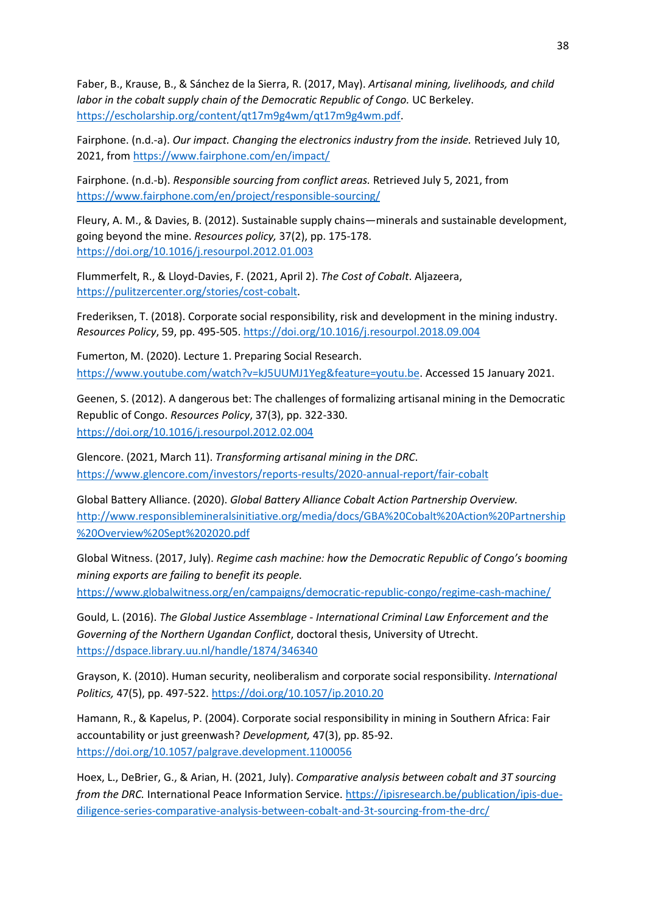Faber, B., Krause, B., & Sánchez de la Sierra, R. (2017, May). *Artisanal mining, livelihoods, and child labor in the cobalt supply chain of the Democratic Republic of Congo.* UC Berkeley. [https://escholarship.org/content/qt17m9g4wm/qt17m9g4wm.pdf.](https://escholarship.org/content/qt17m9g4wm/qt17m9g4wm.pdf)

Fairphone. (n.d.-a). *Our impact. Changing the electronics industry from the inside.* Retrieved July 10, 2021, fro[m https://www.fairphone.com/en/impact/](https://www.fairphone.com/en/impact/)

Fairphone. (n.d.-b). *Responsible sourcing from conflict areas.* Retrieved July 5, 2021, from <https://www.fairphone.com/en/project/responsible-sourcing/>

Fleury, A. M., & Davies, B. (2012). Sustainable supply chains—minerals and sustainable development, going beyond the mine. *Resources policy,* 37(2), pp. 175-178. <https://doi.org/10.1016/j.resourpol.2012.01.003>

Flummerfelt, R., & Lloyd-Davies, F. (2021, April 2). *The Cost of Cobalt*. Aljazeera, [https://pulitzercenter.org/stories/cost-cobalt.](https://pulitzercenter.org/stories/cost-cobalt)

Frederiksen, T. (2018). Corporate social responsibility, risk and development in the mining industry. *Resources Policy*, 59, pp. 495-505. <https://doi.org/10.1016/j.resourpol.2018.09.004>

Fumerton, M. (2020). Lecture 1. Preparing Social Research. [https://www.youtube.com/watch?v=kJ5UUMJ1Yeg&feature=youtu.be.](https://www.youtube.com/watch?v=kJ5UUMJ1Yeg&feature=youtu.be) Accessed 15 January 2021.

Geenen, S. (2012). A dangerous bet: The challenges of formalizing artisanal mining in the Democratic Republic of Congo. *Resources Policy*, 37(3), pp. 322-330. <https://doi.org/10.1016/j.resourpol.2012.02.004>

Glencore. (2021, March 11). *Transforming artisanal mining in the DRC*. <https://www.glencore.com/investors/reports-results/2020-annual-report/fair-cobalt>

Global Battery Alliance. (2020). *Global Battery Alliance Cobalt Action Partnership Overview.*  [http://www.responsiblemineralsinitiative.org/media/docs/GBA%20Cobalt%20Action%20Partnership](http://www.responsiblemineralsinitiative.org/media/docs/GBA%20Cobalt%20Action%20Partnership%20Overview%20Sept%202020.pdf) [%20Overview%20Sept%202020.pdf](http://www.responsiblemineralsinitiative.org/media/docs/GBA%20Cobalt%20Action%20Partnership%20Overview%20Sept%202020.pdf)

Global Witness. (2017, July). *Regime cash machine: how the Democratic Republic of Congo's booming mining exports are failing to benefit its people.*

<https://www.globalwitness.org/en/campaigns/democratic-republic-congo/regime-cash-machine/>

Gould, L. (2016). *The Global Justice Assemblage - International Criminal Law Enforcement and the Governing of the Northern Ugandan Conflict*, doctoral thesis, University of Utrecht. <https://dspace.library.uu.nl/handle/1874/346340>

Grayson, K. (2010). Human security, neoliberalism and corporate social responsibility. *International Politics,* 47(5), pp. 497-522. <https://doi.org/10.1057/ip.2010.20>

Hamann, R., & Kapelus, P. (2004). Corporate social responsibility in mining in Southern Africa: Fair accountability or just greenwash? *Development,* 47(3), pp. 85-92. <https://doi.org/10.1057/palgrave.development.1100056>

Hoex, L., DeBrier, G., & Arian, H. (2021, July). *Comparative analysis between cobalt and 3T sourcing from the DRC.* International Peace Information Service. [https://ipisresearch.be/publication/ipis-due](https://ipisresearch.be/publication/ipis-due-diligence-series-comparative-analysis-between-cobalt-and-3t-sourcing-from-the-drc/)[diligence-series-comparative-analysis-between-cobalt-and-3t-sourcing-from-the-drc/](https://ipisresearch.be/publication/ipis-due-diligence-series-comparative-analysis-between-cobalt-and-3t-sourcing-from-the-drc/)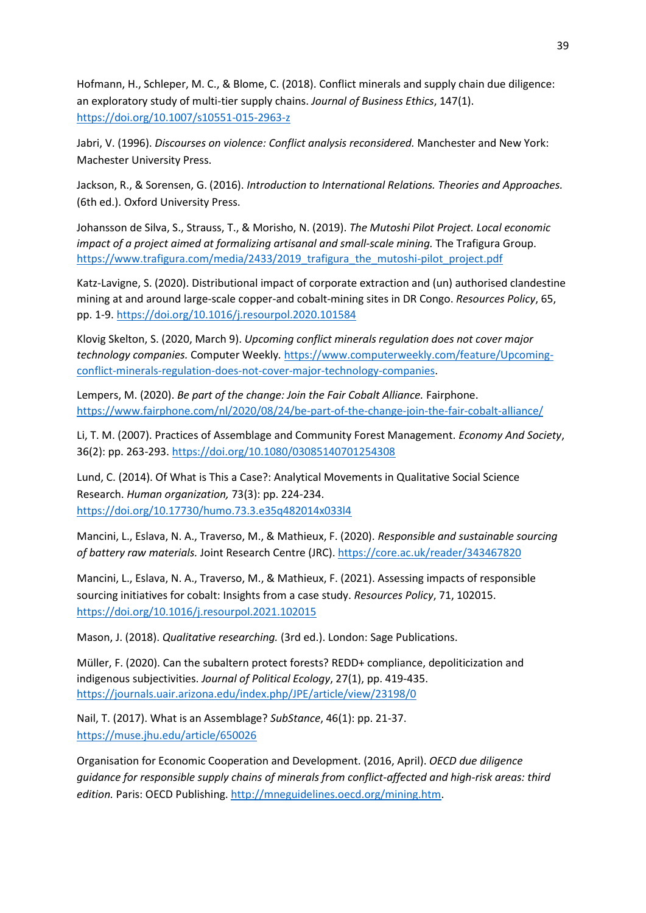Hofmann, H., Schleper, M. C., & Blome, C. (2018). Conflict minerals and supply chain due diligence: an exploratory study of multi-tier supply chains. *Journal of Business Ethics*, 147(1). <https://doi.org/10.1007/s10551-015-2963-z>

Jabri, V. (1996). *Discourses on violence: Conflict analysis reconsidered.* Manchester and New York: Machester University Press.

Jackson, R., & Sorensen, G. (2016). *Introduction to International Relations. Theories and Approaches.*  (6th ed.). Oxford University Press.

Johansson de Silva, S., Strauss, T., & Morisho, N. (2019). *The Mutoshi Pilot Project. Local economic impact of a project aimed at formalizing artisanal and small-scale mining.* The Trafigura Group. [https://www.trafigura.com/media/2433/2019\\_trafigura\\_the\\_mutoshi-pilot\\_project.pdf](https://www.trafigura.com/media/2433/2019_trafigura_the_mutoshi-pilot_project.pdf)

Katz-Lavigne, S. (2020). Distributional impact of corporate extraction and (un) authorised clandestine mining at and around large-scale copper-and cobalt-mining sites in DR Congo. *Resources Policy*, 65, pp. 1-9[. https://doi.org/10.1016/j.resourpol.2020.101584](https://doi.org/10.1016/j.resourpol.2020.101584)

Klovig Skelton, S. (2020, March 9). *Upcoming conflict minerals regulation does not cover major technology companies.* Computer Weekly*.* [https://www.computerweekly.com/feature/Upcoming](https://www.computerweekly.com/feature/Upcoming-conflict-minerals-regulation-does-not-cover-major-technology-companies)[conflict-minerals-regulation-does-not-cover-major-technology-companies.](https://www.computerweekly.com/feature/Upcoming-conflict-minerals-regulation-does-not-cover-major-technology-companies)

Lempers, M. (2020). *Be part of the change: Join the Fair Cobalt Alliance.* Fairphone. <https://www.fairphone.com/nl/2020/08/24/be-part-of-the-change-join-the-fair-cobalt-alliance/>

Li, T. M. (2007). Practices of Assemblage and Community Forest Management. *Economy And Society*, 36(2): pp. 263-293. <https://doi.org/10.1080/03085140701254308>

Lund, C. (2014). Of What is This a Case?: Analytical Movements in Qualitative Social Science Research. *Human organization,* 73(3): pp. 224-234. <https://doi.org/10.17730/humo.73.3.e35q482014x033l4>

Mancini, L., Eslava, N. A., Traverso, M., & Mathieux, F. (2020). *Responsible and sustainable sourcing of battery raw materials.* Joint Research Centre (JRC)[. https://core.ac.uk/reader/343467820](https://core.ac.uk/reader/343467820)

Mancini, L., Eslava, N. A., Traverso, M., & Mathieux, F. (2021). Assessing impacts of responsible sourcing initiatives for cobalt: Insights from a case study. *Resources Policy*, 71, 102015. <https://doi.org/10.1016/j.resourpol.2021.102015>

Mason, J. (2018). *Qualitative researching.* (3rd ed.). London: Sage Publications.

Müller, F. (2020). Can the subaltern protect forests? REDD+ compliance, depoliticization and indigenous subjectivities. *Journal of Political Ecology*, 27(1), pp. 419-435. <https://journals.uair.arizona.edu/index.php/JPE/article/view/23198/0>

Nail, T. (2017). What is an Assemblage? *SubStance*, 46(1): pp. 21-37. <https://muse.jhu.edu/article/650026>

Organisation for Economic Cooperation and Development. (2016, April). *OECD due diligence guidance for responsible supply chains of minerals from conflict-affected and high-risk areas: third edition.* Paris: OECD Publishing. [http://mneguidelines.oecd.org/mining.htm.](http://mneguidelines.oecd.org/mining.htm)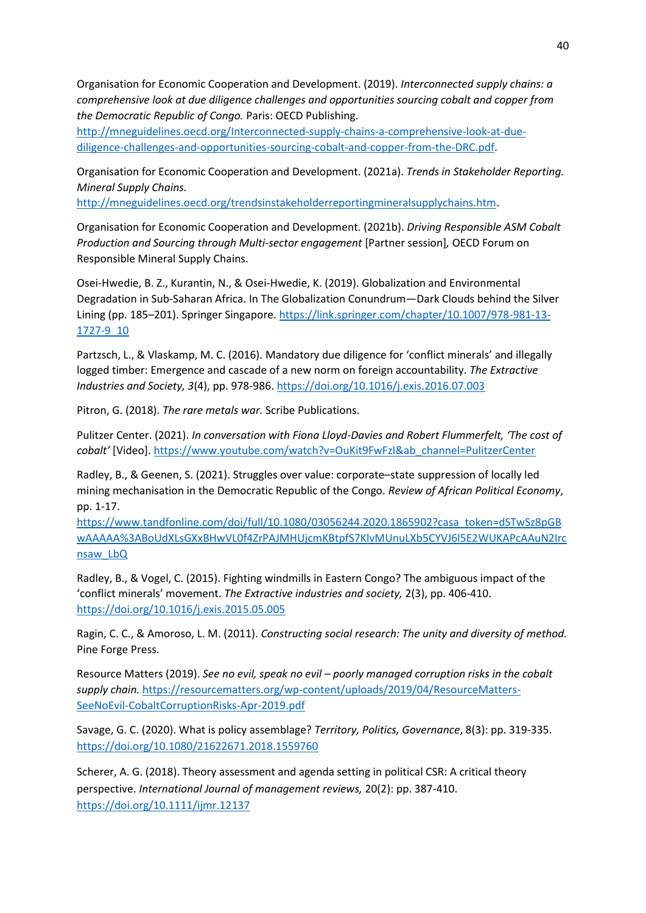Organisation for Economic Cooperation and Development. (2019). *Interconnected supply chains: a comprehensive look at due diligence challenges and opportunities sourcing cobalt and copper from the Democratic Republic of Congo.* Paris: OECD Publishing.

[http://mneguidelines.oecd.org/Interconnected-supply-chains-a-comprehensive-look-at-due](http://mneguidelines.oecd.org/Interconnected-supply-chains-a-comprehensive-look-at-due-diligence-challenges-and-opportunities-sourcing-cobalt-and-copper-from-the-DRC.pdf)[diligence-challenges-and-opportunities-sourcing-cobalt-and-copper-from-the-DRC.pdf.](http://mneguidelines.oecd.org/Interconnected-supply-chains-a-comprehensive-look-at-due-diligence-challenges-and-opportunities-sourcing-cobalt-and-copper-from-the-DRC.pdf)

Organisation for Economic Cooperation and Development. (2021a). *Trends in Stakeholder Reporting. Mineral Supply Chains.* 

[http://mneguidelines.oecd.org/trendsinstakeholderreportingmineralsupplychains.htm.](http://mneguidelines.oecd.org/trendsinstakeholderreportingmineralsupplychains.htm)

Organisation for Economic Cooperation and Development. (2021b). *Driving Responsible ASM Cobalt Production and Sourcing through Multi-sector engagement* [Partner session]*,* OECD Forum on Responsible Mineral Supply Chains.

Osei-Hwedie, B. Z., Kurantin, N., & Osei-Hwedie, K. (2019). Globalization and Environmental Degradation in Sub-Saharan Africa. In The Globalization Conundrum—Dark Clouds behind the Silver Lining (pp. 185–201). Springer Singapore. [https://link.springer.com/chapter/10.1007/978-981-13-](https://link.springer.com/chapter/10.1007/978-981-13-1727-9_10) [1727-9\\_10](https://link.springer.com/chapter/10.1007/978-981-13-1727-9_10)

Partzsch, L., & Vlaskamp, M. C. (2016). Mandatory due diligence for 'conflict minerals' and illegally logged timber: Emergence and cascade of a new norm on foreign accountability. *The Extractive Industries and Society, 3*(4), pp. 978-986. <https://doi.org/10.1016/j.exis.2016.07.003>

Pitron, G. (2018). *The rare metals war.* Scribe Publications.

Pulitzer Center. (2021). *In conversation with Fiona Lloyd-Davies and Robert Flummerfelt, 'The cost of cobalt'* [Video][. https://www.youtube.com/watch?v=OuKit9FwFzI&ab\\_channel=PulitzerCenter](https://www.youtube.com/watch?v=OuKit9FwFzI&ab_channel=PulitzerCenter)

Radley, B., & Geenen, S. (2021). Struggles over value: corporate–state suppression of locally led mining mechanisation in the Democratic Republic of the Congo. *Review of African Political Economy*, pp. 1-17.

[https://www.tandfonline.com/doi/full/10.1080/03056244.2020.1865902?casa\\_token=dSTwSz8pGB](https://www.tandfonline.com/doi/full/10.1080/03056244.2020.1865902?casa_token=dSTwSz8pGBwAAAAA%3ABoUdXLsGXxBHwVL0f4ZrPAJMHUjcmKBtpfS7KlvMUnuLXb5CYVJ6l5E2WUKAPcAAuN2Ircnsaw_LbQ) [wAAAAA%3ABoUdXLsGXxBHwVL0f4ZrPAJMHUjcmKBtpfS7KlvMUnuLXb5CYVJ6l5E2WUKAPcAAuN2Irc](https://www.tandfonline.com/doi/full/10.1080/03056244.2020.1865902?casa_token=dSTwSz8pGBwAAAAA%3ABoUdXLsGXxBHwVL0f4ZrPAJMHUjcmKBtpfS7KlvMUnuLXb5CYVJ6l5E2WUKAPcAAuN2Ircnsaw_LbQ) [nsaw\\_LbQ](https://www.tandfonline.com/doi/full/10.1080/03056244.2020.1865902?casa_token=dSTwSz8pGBwAAAAA%3ABoUdXLsGXxBHwVL0f4ZrPAJMHUjcmKBtpfS7KlvMUnuLXb5CYVJ6l5E2WUKAPcAAuN2Ircnsaw_LbQ)

Radley, B., & Vogel, C. (2015). Fighting windmills in Eastern Congo? The ambiguous impact of the 'conflict minerals' movement. *The Extractive industries and society,* 2(3), pp. 406-410. <https://doi.org/10.1016/j.exis.2015.05.005>

Ragin, C. C., & Amoroso, L. M. (2011). *Constructing social research: The unity and diversity of method.*  Pine Forge Press.

Resource Matters (2019). *See no evil, speak no evil – poorly managed corruption risks in the cobalt supply chain.* [https://resourcematters.org/wp-content/uploads/2019/04/ResourceMatters-](https://resourcematters.org/wp-content/uploads/2019/04/ResourceMatters-SeeNoEvil-CobaltCorruptionRisks-Apr-2019.pdf)[SeeNoEvil-CobaltCorruptionRisks-Apr-2019.pdf](https://resourcematters.org/wp-content/uploads/2019/04/ResourceMatters-SeeNoEvil-CobaltCorruptionRisks-Apr-2019.pdf)

Savage, G. C. (2020). What is policy assemblage? *Territory, Politics, Governance*, 8(3): pp. 319-335. <https://doi.org/10.1080/21622671.2018.1559760>

Scherer, A. G. (2018). Theory assessment and agenda setting in political CSR: A critical theory perspective. *International Journal of management reviews,* 20(2): pp. 387-410. <https://doi.org/10.1111/ijmr.12137>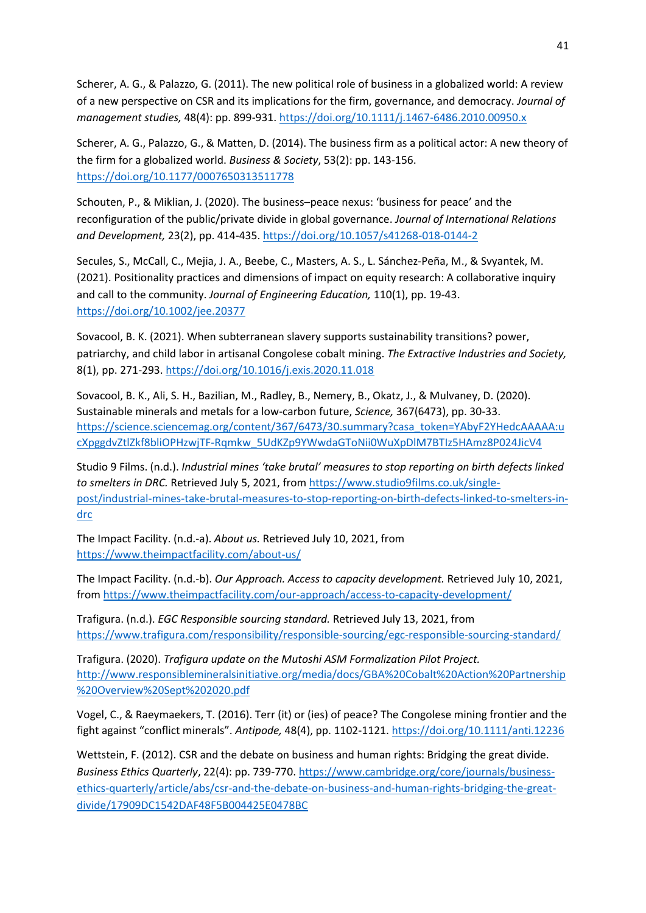Scherer, A. G., & Palazzo, G. (2011). The new political role of business in a globalized world: A review of a new perspective on CSR and its implications for the firm, governance, and democracy. *Journal of management studies,* 48(4): pp. 899-931. <https://doi.org/10.1111/j.1467-6486.2010.00950.x>

Scherer, A. G., Palazzo, G., & Matten, D. (2014). The business firm as a political actor: A new theory of the firm for a globalized world. *Business & Society*, 53(2): pp. 143-156. <https://doi.org/10.1177/0007650313511778>

Schouten, P., & Miklian, J. (2020). The business–peace nexus: 'business for peace' and the reconfiguration of the public/private divide in global governance. *Journal of International Relations and Development,* 23(2), pp. 414-435. <https://doi.org/10.1057/s41268-018-0144-2>

Secules, S., McCall, C., Mejia, J. A., Beebe, C., Masters, A. S., L. Sánchez‐Peña, M., & Svyantek, M. (2021). Positionality practices and dimensions of impact on equity research: A collaborative inquiry and call to the community. *Journal of Engineering Education,* 110(1), pp. 19-43. <https://doi.org/10.1002/jee.20377>

Sovacool, B. K. (2021). When subterranean slavery supports sustainability transitions? power, patriarchy, and child labor in artisanal Congolese cobalt mining. *The Extractive Industries and Society,* 8(1), pp. 271-293. <https://doi.org/10.1016/j.exis.2020.11.018>

Sovacool, B. K., Ali, S. H., Bazilian, M., Radley, B., Nemery, B., Okatz, J., & Mulvaney, D. (2020). Sustainable minerals and metals for a low-carbon future, *Science,* 367(6473), pp. 30-33. [https://science.sciencemag.org/content/367/6473/30.summary?casa\\_token=YAbyF2YHedcAAAAA:u](https://science.sciencemag.org/content/367/6473/30.summary?casa_token=YAbyF2YHedcAAAAA:ucXpggdvZtlZkf8bliOPHzwjTF-Rqmkw_5UdKZp9YWwdaGToNii0WuXpDlM7BTIz5HAmz8P024JicV4) [cXpggdvZtlZkf8bliOPHzwjTF-Rqmkw\\_5UdKZp9YWwdaGToNii0WuXpDlM7BTIz5HAmz8P024JicV4](https://science.sciencemag.org/content/367/6473/30.summary?casa_token=YAbyF2YHedcAAAAA:ucXpggdvZtlZkf8bliOPHzwjTF-Rqmkw_5UdKZp9YWwdaGToNii0WuXpDlM7BTIz5HAmz8P024JicV4)

Studio 9 Films. (n.d.). *Industrial mines 'take brutal' measures to stop reporting on birth defects linked to smelters in DRC.* Retrieved July 5, 2021, from [https://www.studio9films.co.uk/single](https://www.studio9films.co.uk/single-post/industrial-mines-take-brutal-measures-to-stop-reporting-on-birth-defects-linked-to-smelters-in-drc)[post/industrial-mines-take-brutal-measures-to-stop-reporting-on-birth-defects-linked-to-smelters-in](https://www.studio9films.co.uk/single-post/industrial-mines-take-brutal-measures-to-stop-reporting-on-birth-defects-linked-to-smelters-in-drc)[drc](https://www.studio9films.co.uk/single-post/industrial-mines-take-brutal-measures-to-stop-reporting-on-birth-defects-linked-to-smelters-in-drc)

The Impact Facility. (n.d.-a). *About us.* Retrieved July 10, 2021, from <https://www.theimpactfacility.com/about-us/>

The Impact Facility. (n.d.-b). *Our Approach. Access to capacity development.* Retrieved July 10, 2021, from<https://www.theimpactfacility.com/our-approach/access-to-capacity-development/>

Trafigura. (n.d.). *EGC Responsible sourcing standard.* Retrieved July 13, 2021, from <https://www.trafigura.com/responsibility/responsible-sourcing/egc-responsible-sourcing-standard/>

Trafigura. (2020). *Trafigura update on the Mutoshi ASM Formalization Pilot Project.*  [http://www.responsiblemineralsinitiative.org/media/docs/GBA%20Cobalt%20Action%20Partnership](http://www.responsiblemineralsinitiative.org/media/docs/GBA%20Cobalt%20Action%20Partnership%20Overview%20Sept%202020.pdf) [%20Overview%20Sept%202020.pdf](http://www.responsiblemineralsinitiative.org/media/docs/GBA%20Cobalt%20Action%20Partnership%20Overview%20Sept%202020.pdf)

Vogel, C., & Raeymaekers, T. (2016). Terr (it) or (ies) of peace? The Congolese mining frontier and the fight against "conflict minerals". *Antipode,* 48(4), pp. 1102-1121.<https://doi.org/10.1111/anti.12236>

Wettstein, F. (2012). CSR and the debate on business and human rights: Bridging the great divide. *Business Ethics Quarterly*, 22(4): pp. 739-770. [https://www.cambridge.org/core/journals/business](https://www.cambridge.org/core/journals/business-ethics-quarterly/article/abs/csr-and-the-debate-on-business-and-human-rights-bridging-the-great-divide/17909DC1542DAF48F5B004425E0478BC)[ethics-quarterly/article/abs/csr-and-the-debate-on-business-and-human-rights-bridging-the-great](https://www.cambridge.org/core/journals/business-ethics-quarterly/article/abs/csr-and-the-debate-on-business-and-human-rights-bridging-the-great-divide/17909DC1542DAF48F5B004425E0478BC)[divide/17909DC1542DAF48F5B004425E0478BC](https://www.cambridge.org/core/journals/business-ethics-quarterly/article/abs/csr-and-the-debate-on-business-and-human-rights-bridging-the-great-divide/17909DC1542DAF48F5B004425E0478BC)